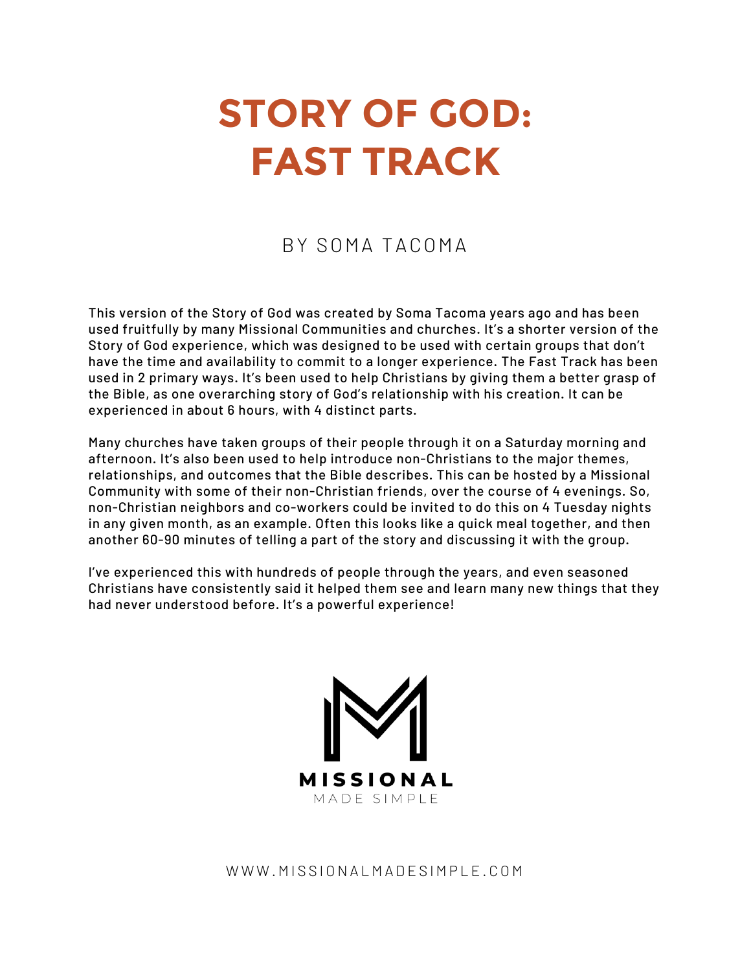# **STORY OF GOD: FAST TRACK**

# BY SOMA TACOMA

This version of the Story of God was created by Soma Tacoma years ago and has been used fruitfully by many Missional Communities and churches. It's a shorter version of the Story of God experience, which was designed to be used with certain groups that don't have the time and availability to commit to a longer experience. The Fast Track has been used in 2 primary ways. It's been used to help Christians by giving them a better grasp of the Bible, as one overarching story of God's relationship with his creation. It can be experienced in about 6 hours, with 4 distinct parts.

Many churches have taken groups of their people through it on a Saturday morning and afternoon. It's also been used to help introduce non-Christians to the major themes, relationships, and outcomes that the Bible describes. This can be hosted by a Missional Community with some of their non-Christian friends, over the course of 4 evenings. So, non-Christian neighbors and co-workers could be invited to do this on 4 Tuesday nights in any given month, as an example. Often this looks like a quick meal together, and then another 60-90 minutes of telling a part of the story and discussing it with the group.

I've experienced this with hundreds of people through the years, and even seasoned Christians have consistently said it helped them see and learn many new things that they had never understood before. It's a powerful experience!

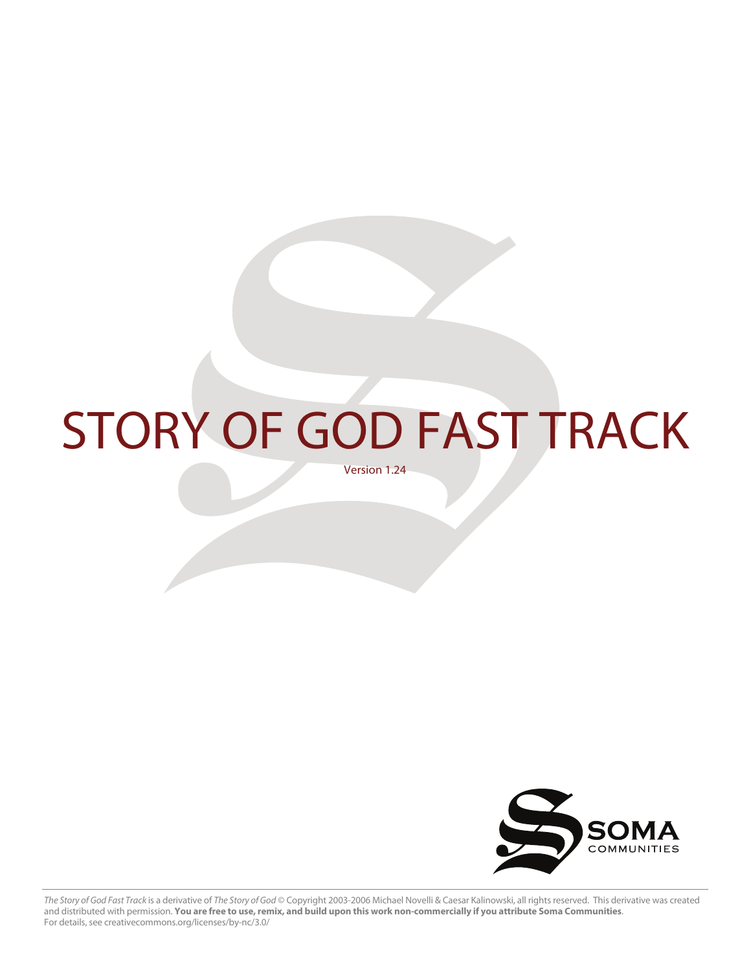# STORY OF GOD FAST TRACK

Version 1.24



The Story of God Fast Track is a derivative of The Story of God © Copyright 2003-2006 Michael Novelli & Caesar Kalinowski, all rights reserved. This derivative was created and distributed with permission. **You are free to use, remix, and build upon this work non-commercially if you attribute Soma Communities**. For details, see creativecommons.org/licenses/by-nc/3.0/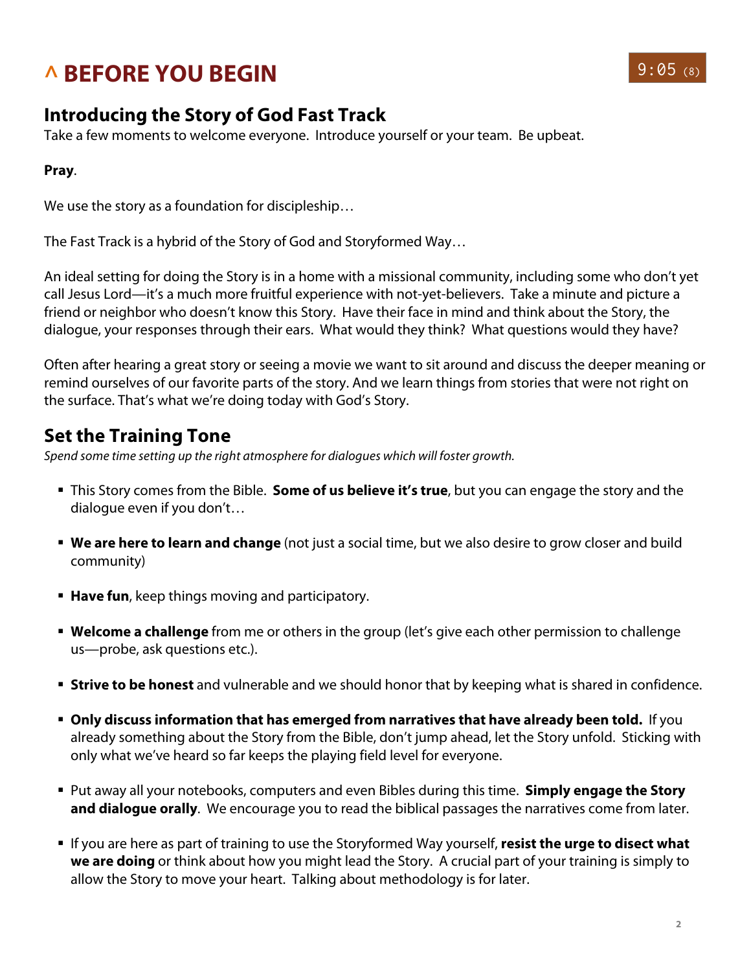# **^ BEFORE YOU BEGIN**

# **Introducing the Story of God Fast Track**

Take a few moments to welcome everyone. Introduce yourself or your team. Be upbeat.

#### **Pray**.

We use the story as a foundation for discipleship…

The Fast Track is a hybrid of the Story of God and Storyformed Way…

An ideal setting for doing the Story is in a home with a missional community, including some who don't yet call Jesus Lord—it's a much more fruitful experience with not-yet-believers. Take a minute and picture a friend or neighbor who doesn't know this Story. Have their face in mind and think about the Story, the dialogue, your responses through their ears. What would they think? What questions would they have?

Often after hearing a great story or seeing a movie we want to sit around and discuss the deeper meaning or remind ourselves of our favorite parts of the story. And we learn things from stories that were not right on the surface. That's what we're doing today with God's Story.

# **Set the Training Tone**

Spend some time setting up the right atmosphere for dialogues which will foster growth.

- This Story comes from the Bible. **Some of us believe it's true**, but you can engage the story and the dialogue even if you don't…
- **We are here to learn and change** (not just a social time, but we also desire to grow closer and build community)
- **Have fun**, keep things moving and participatory.
- **Welcome a challenge** from me or others in the group (let's give each other permission to challenge us—probe, ask questions etc.).
- **Strive to be honest** and vulnerable and we should honor that by keeping what is shared in confidence.
- **Only discuss information that has emerged from narratives that have already been told.** If you already something about the Story from the Bible, don't jump ahead, let the Story unfold. Sticking with only what we've heard so far keeps the playing field level for everyone.
- Put away all your notebooks, computers and even Bibles during this time. **Simply engage the Story and dialogue orally**. We encourage you to read the biblical passages the narratives come from later.
- If you are here as part of training to use the Storyformed Way yourself, resist the urge to disect what **we are doing** or think about how you might lead the Story. A crucial part of your training is simply to allow the Story to move your heart. Talking about methodology is for later.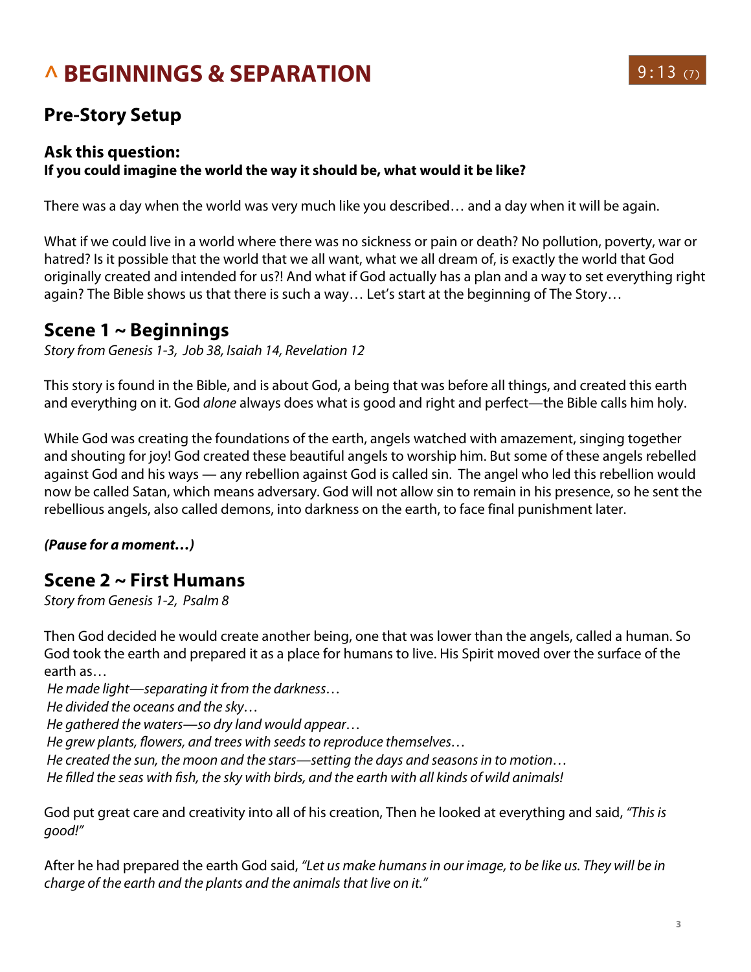# **^ BEGINNINGS & SEPARATION**

# **Pre-Story Setup**

#### **Ask this question:**

#### **If you could imagine the world the way it should be, what would it be like?**

There was a day when the world was very much like you described… and a day when it will be again.

What if we could live in a world where there was no sickness or pain or death? No pollution, poverty, war or hatred? Is it possible that the world that we all want, what we all dream of, is exactly the world that God originally created and intended for us?! And what if God actually has a plan and a way to set everything right again? The Bible shows us that there is such a way… Let's start at the beginning of The Story…

# **Scene 1 ~ Beginnings**

Story from Genesis 1-3, Job 38, Isaiah 14, Revelation 12

This story is found in the Bible, and is about God, a being that was before all things, and created this earth and everything on it. God *alone* always does what is good and right and perfect—the Bible calls him holy.

While God was creating the foundations of the earth, angels watched with amazement, singing together and shouting for joy! God created these beautiful angels to worship him. But some of these angels rebelled against God and his ways — any rebellion against God is called sin. The angel who led this rebellion would now be called Satan, which means adversary. God will not allow sin to remain in his presence, so he sent the rebellious angels, also called demons, into darkness on the earth, to face final punishment later.

**(Pause for a moment…)**

# **Scene 2 ~ First Humans**

Story from Genesis 1-2, Psalm 8

Then God decided he would create another being, one that was lower than the angels, called a human. So God took the earth and prepared it as a place for humans to live. His Spirit moved over the surface of the earth as…

He made light—separating it from the darkness…

He divided the oceans and the sky…

He gathered the waters—so dry land would appear…

He grew plants, flowers, and trees with seeds to reproduce themselves...

He created the sun, the moon and the stars—setting the days and seasons in to motion…

He flled the seas with fsh, the sky with birds, and the earth with all kinds of wild animals!

God put great care and creativity into all of his creation, Then he looked at everything and said, "This is good!"

After he had prepared the earth God said, "Let us make humans in our image, to be like us. They will be in charge of the earth and the plants and the animals that live on it."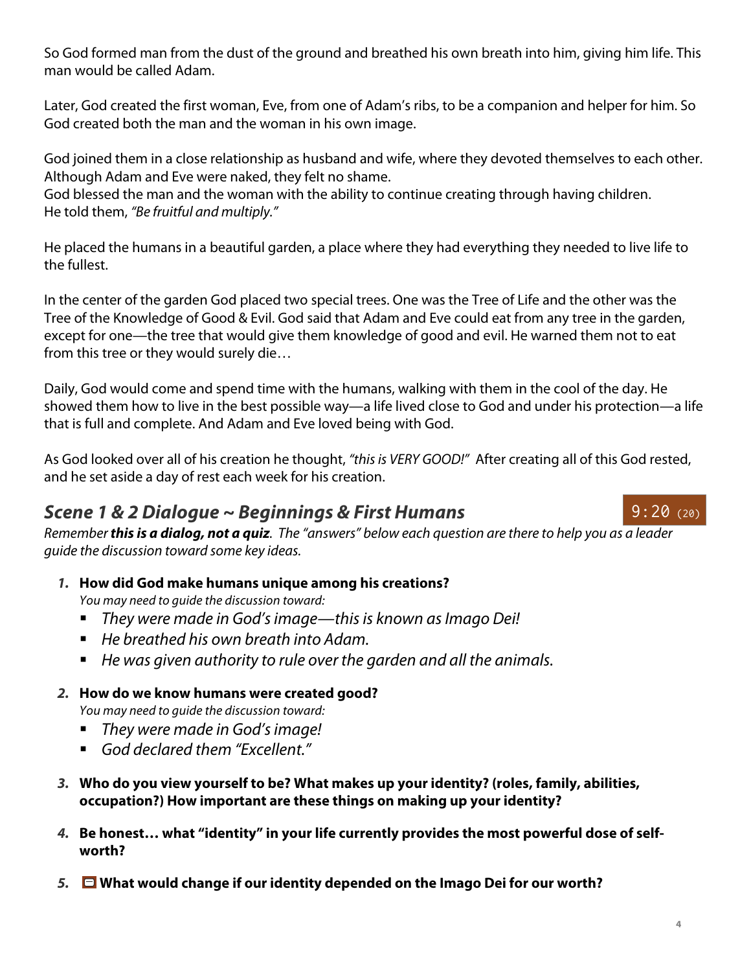So God formed man from the dust of the ground and breathed his own breath into him, giving him life. This man would be called Adam.

Later, God created the first woman, Eve, from one of Adam's ribs, to be a companion and helper for him. So God created both the man and the woman in his own image.

God joined them in a close relationship as husband and wife, where they devoted themselves to each other. Although Adam and Eve were naked, they felt no shame.

God blessed the man and the woman with the ability to continue creating through having children. He told them, "Be fruitful and multiply."

He placed the humans in a beautiful garden, a place where they had everything they needed to live life to the fullest.

In the center of the garden God placed two special trees. One was the Tree of Life and the other was the Tree of the Knowledge of Good & Evil. God said that Adam and Eve could eat from any tree in the garden, except for one—the tree that would give them knowledge of good and evil. He warned them not to eat from this tree or they would surely die…

Daily, God would come and spend time with the humans, walking with them in the cool of the day. He showed them how to live in the best possible way—a life lived close to God and under his protection—a life that is full and complete. And Adam and Eve loved being with God.

As God looked over all of his creation he thought, "this is VERY GOOD!" After creating all of this God rested, and he set aside a day of rest each week for his creation.

# **Scene 1 & 2 Dialogue ~ Beginnings & First Humans**



Remember **this is a dialog, not a quiz**. The "answers" below each question are there to help you as a leader guide the discussion toward some key ideas.

- **1. How did God make humans unique among his creations?** You may need to guide the discussion toward:
	- They were made in God's image—this is known as Imago Dei!
	- He breathed his own breath into Adam.
	- $\blacksquare$  He was given authority to rule over the garden and all the animals.

#### **2. How do we know humans were created good?**

You may need to guide the discussion toward:

- They were made in God's image!
- God declared them "Excellent."
- **3. Who do you view yourself to be? What makes up your identity? (roles, family, abilities, occupation?) How important are these things on making up your identity?**
- **4. Be honest… what "identity" in your life currently provides the most powerful dose of selfworth?**
- **5. What would change if our identity depended on the Imago Dei for our worth?**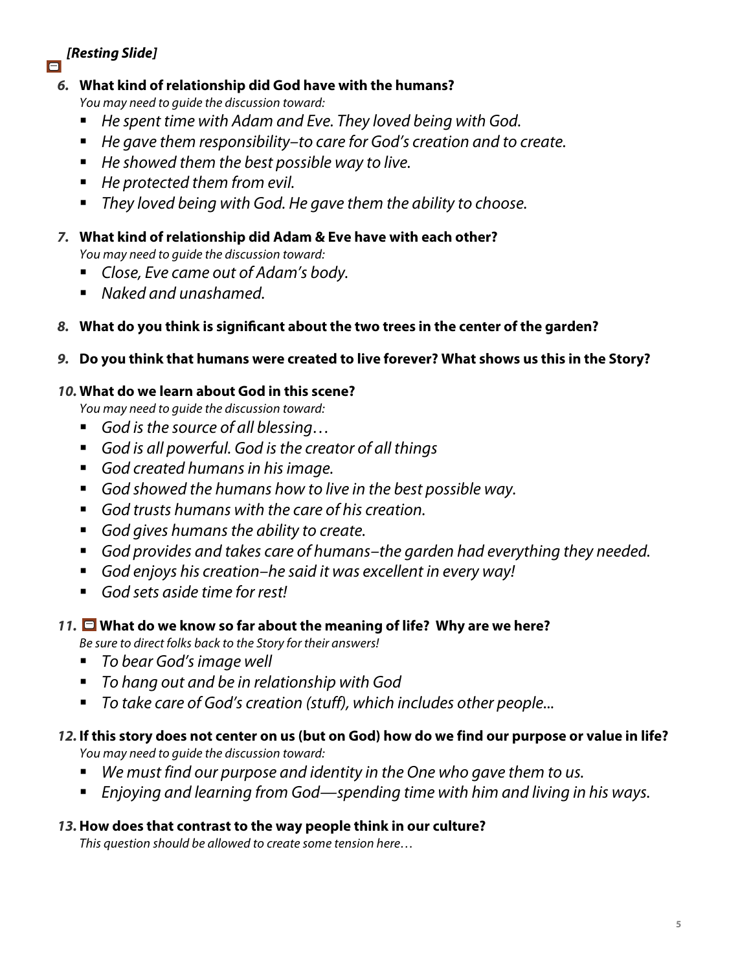# **[Resting Slide]**

### **6. What kind of relationship did God have with the humans?**

You may need to guide the discussion toward:

- He spent time with Adam and Eve. They loved being with God.
- He gave them responsibility–to care for God's creation and to create.
- $\blacksquare$  He showed them the best possible way to live.
- He protected them from evil.
- They loved being with God. He gave them the ability to choose.

#### **7. What kind of relationship did Adam & Eve have with each other?**

You may need to guide the discussion toward:

- Close, Eve came out of Adam's body.
- Naked and unashamed.
- **8. What do you think is signifcant about the two trees in the center of the garden?**
- **9. Do you think that humans were created to live forever? What shows us this in the Story?**

#### **10. What do we learn about God in this scene?**

You may need to guide the discussion toward:

- God is the source of all blessing...
- God is all powerful. God is the creator of all things
- God created humans in his image.
- God showed the humans how to live in the best possible way.
- God trusts humans with the care of his creation.
- God gives humans the ability to create.
- God provides and takes care of humans-the garden had everything they needed.
- God enjoys his creation–he said it was excellent in every way!
- God sets aside time for rest!

#### **11. What do we know so far about the meaning of life? Why are we here?**

Be sure to direct folks back to the Story for their answers!

- To bear God's image well
- To hang out and be in relationship with God
- To take care of God's creation (stuff), which includes other people...

# **12. If this story does not center on us (but on God) how do we find our purpose or value in life?**

You may need to guide the discussion toward:

- We must find our purpose and identity in the One who gave them to us.
- Enjoying and learning from God—spending time with him and living in his ways.

#### **13.How does that contrast to the way people think in our culture?**

This question should be allowed to create some tension here…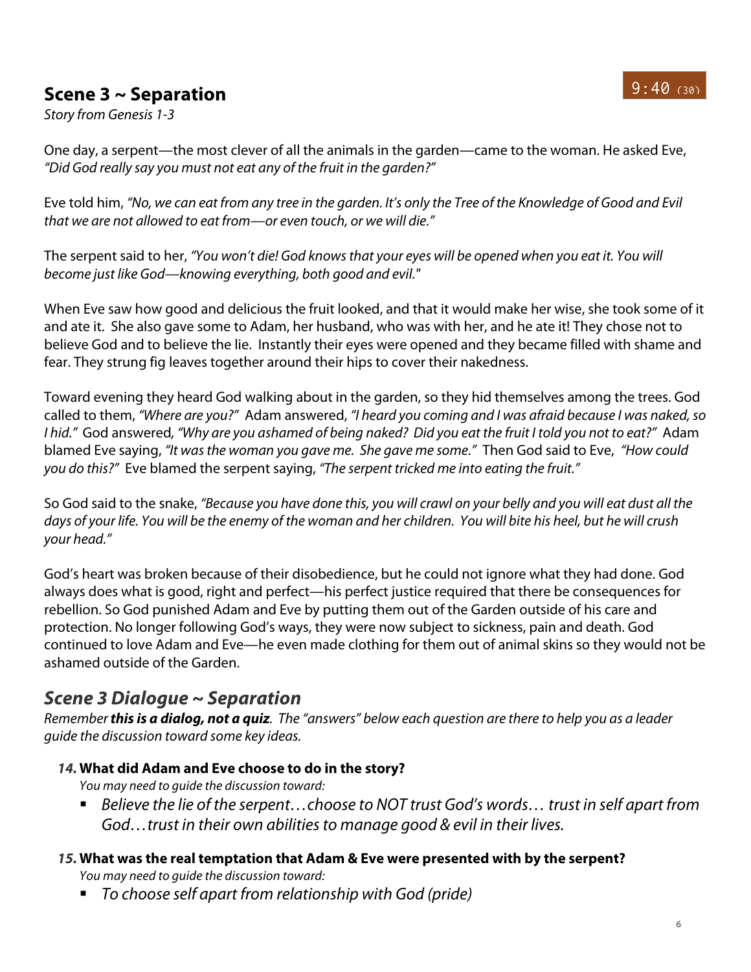# **Scene 3 ~ Separation**

Story from Genesis 1-3

One day, a serpent—the most clever of all the animals in the garden—came to the woman. He asked Eve, "Did God really say you must not eat any of the fruit in the garden?"

Eve told him, "No, we can eat from any tree in the garden. It's only the Tree of the Knowledge of Good and Evil that we are not allowed to eat from—or even touch, or we will die."

The serpent said to her, "You won't die! God knows that your eyes will be opened when you eat it. You will become just like God—knowing everything, both good and evil."

When Eve saw how good and delicious the fruit looked, and that it would make her wise, she took some of it and ate it. She also gave some to Adam, her husband, who was with her, and he ate it! They chose not to believe God and to believe the lie. Instantly their eyes were opened and they became filled with shame and fear. They strung fig leaves together around their hips to cover their nakedness.

Toward evening they heard God walking about in the garden, so they hid themselves among the trees. God called to them, "Where are you?" Adam answered, "I heard you coming and I was afraid because I was naked, so I hid." God answered, "Why are you ashamed of being naked? Did you eat the fruit I told you not to eat?" Adam blamed Eve saying, "It was the woman you gave me. She gave me some." Then God said to Eve, "How could you do this?" Eve blamed the serpent saying, "The serpent tricked me into eating the fruit."

So God said to the snake, "Because you have done this, you will crawl on your belly and you will eat dust all the days of your life. You will be the enemy of the woman and her children. You will bite his heel, but he will crush your head."

God's heart was broken because of their disobedience, but he could not ignore what they had done. God always does what is good, right and perfect—his perfect justice required that there be consequences for rebellion. So God punished Adam and Eve by putting them out of the Garden outside of his care and protection. No longer following God's ways, they were now subject to sickness, pain and death. God continued to love Adam and Eve—he even made clothing for them out of animal skins so they would not be ashamed outside of the Garden.

# **Scene 3 Dialogue ~ Separation**

Remember **this is a dialog, not a quiz**. The "answers" below each question are there to help you as a leader guide the discussion toward some key ideas.

#### **14. What did Adam and Eve choose to do in the story?**

You may need to guide the discussion toward:

■ Believe the lie of the serpent...choose to NOT trust God's words... trust in self apart from God…trust in their own abilities to manage good & evil in their lives.

#### **15. What was the real temptation that Adam & Eve were presented with by the serpent?**

You may need to guide the discussion toward:

■ To choose self apart from relationship with God (pride)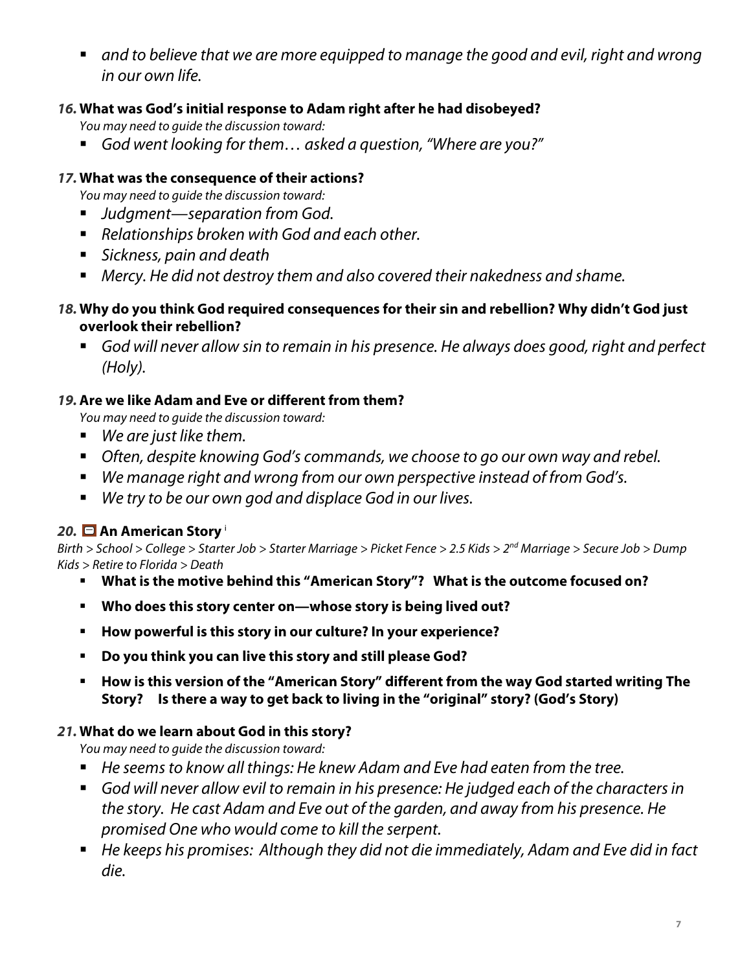• and to believe that we are more equipped to manage the good and evil, right and wrong in our own life.

#### **16. What was God's initial response to Adam right after he had disobeyed?**

You may need to guide the discussion toward:

■ God went looking for them... asked a question, "Where are you?"

#### **17. What was the consequence of their actions?**

You may need to guide the discussion toward:

- Judgment—separation from God.
- Relationships broken with God and each other.
- **Sickness, pain and death**
- Mercy. He did not destroy them and also covered their nakedness and shame.
- **18. Why do you think God required consequences for their sin and rebellion? Why didn't God just overlook their rebellion?**
	- God will never allow sin to remain in his presence. He always does good, right and perfect (Holy).

#### **19.Are we like Adam and Eve or different from them?**

You may need to guide the discussion toward:

- We are just like them.
- Often, despite knowing God's commands, we choose to go our own way and rebel.
- We manage right and wrong from our own perspective instead of from God's.
- We try to be our own god and displace God in our lives.

#### **20. An American Story** <sup>i</sup>

Birth > School > College > Starter Job > Starter Marriage > Picket Fence > 2.5 Kids > 2<sup>nd</sup> Marriage > Secure Job > Dump Kids > Retire to Florida > Death

- **What is the motive behind this "American Story"? What is the outcome focused on?**
- **Who does this story center on—whose story is being lived out?**
- **How powerful is this story in our culture? In your experience?**
- **Do you think you can live this story and still please God?**
- **How is this version of the "American Story" different from the way God started writing The Story? Is there a way to get back to living in the "original" story? (God's Story)**

#### **21. What do we learn about God in this story?**

You may need to guide the discussion toward:

- He seems to know all things: He knew Adam and Eve had eaten from the tree.
- God will never allow evil to remain in his presence: He judged each of the characters in the story. He cast Adam and Eve out of the garden, and away from his presence. He promised One who would come to kill the serpent.
- He keeps his promises: Although they did not die immediately, Adam and Eve did in fact die.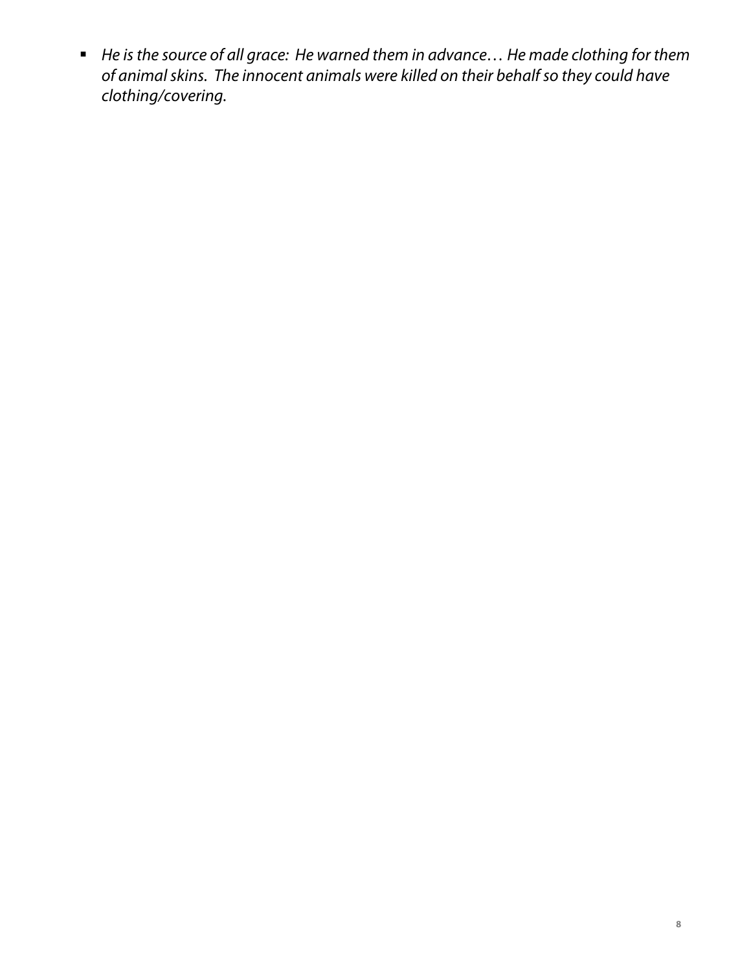■ He is the source of all grace: He warned them in advance... He made clothing for them of animal skins. The innocent animals were killed on their behalf so they could have clothing/covering.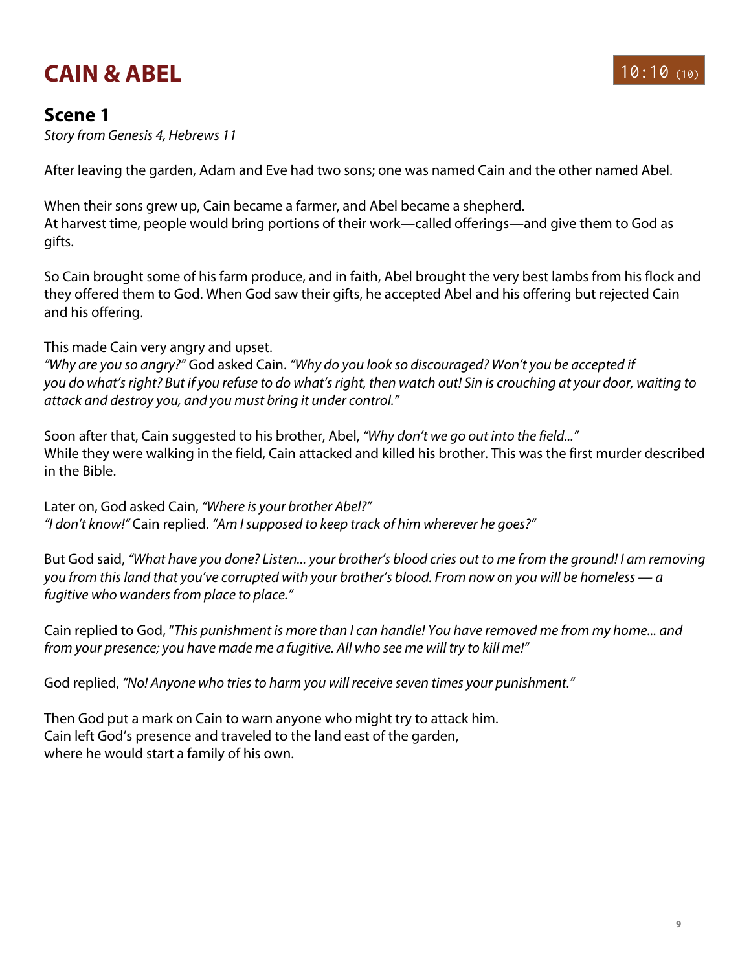# **CAIN & ABEL**

## **Scene 1**

Story from Genesis 4, Hebrews 11

After leaving the garden, Adam and Eve had two sons; one was named Cain and the other named Abel.

When their sons grew up, Cain became a farmer, and Abel became a shepherd. At harvest time, people would bring portions of their work—called offerings—and give them to God as gifts.

So Cain brought some of his farm produce, and in faith, Abel brought the very best lambs from his flock and they offered them to God. When God saw their gifts, he accepted Abel and his offering but rejected Cain and his offering.

This made Cain very angry and upset.

"Why are you so angry?" God asked Cain. "Why do you look so discouraged? Won't you be accepted if you do what's right? But if you refuse to do what's right, then watch out! Sin is crouching at your door, waiting to attack and destroy you, and you must bring it under control."

Soon after that, Cain suggested to his brother, Abel, "Why don't we go out into the field..." While they were walking in the field, Cain attacked and killed his brother. This was the first murder described in the Bible.

Later on, God asked Cain, "Where is your brother Abel?" "I don't know!" Cain replied. "Am I supposed to keep track of him wherever he goes?"

But God said, "What have you done? Listen... your brother's blood cries out to me from the ground! I am removing you from this land that you've corrupted with your brother's blood. From now on you will be homeless — a fugitive who wanders from place to place."

Cain replied to God, "This punishment is more than I can handle! You have removed me from my home... and from your presence; you have made me a fugitive. All who see me will try to kill me!"

God replied, "No! Anyone who tries to harm you will receive seven times your punishment."

Then God put a mark on Cain to warn anyone who might try to attack him. Cain left God's presence and traveled to the land east of the garden, where he would start a family of his own.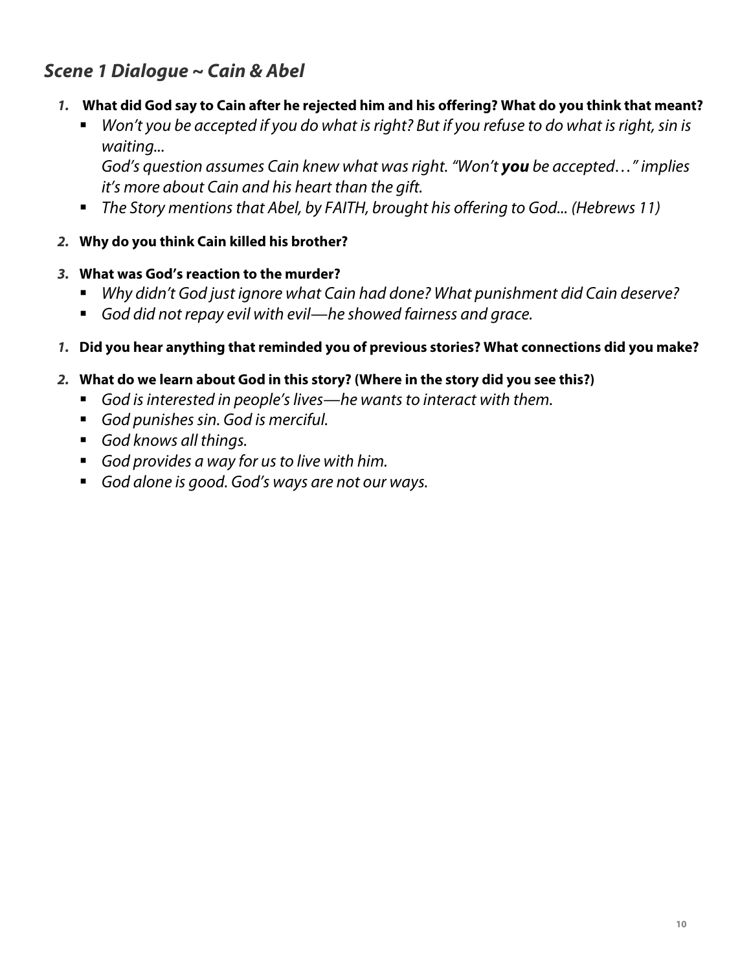# **Scene 1 Dialogue ~ Cain & Abel**

- **1. What did God say to Cain after he rejected him and his offering? What do you think that meant?** 
	- Won't you be accepted if you do what is right? But if you refuse to do what is right, sin is waiting...

God's question assumes Cain knew what was right. "Won't **you** be accepted…" implies it's more about Cain and his heart than the gift.

• The Story mentions that Abel, by FAITH, brought his offering to God... (Hebrews 11)

#### **2. Why do you think Cain killed his brother?**

#### **3. What was God's reaction to the murder?**

- Why didn't God just ignore what Cain had done? What punishment did Cain deserve?
- God did not repay evil with evil—he showed fairness and grace.
- **1. Did you hear anything that reminded you of previous stories? What connections did you make?**

#### **2. What do we learn about God in this story? (Where in the story did you see this?)**

- God is interested in people's lives—he wants to interact with them.
- God punishes sin. God is merciful.
- God knows all things.
- God provides a way for us to live with him.
- God alone is good. God's ways are not our ways.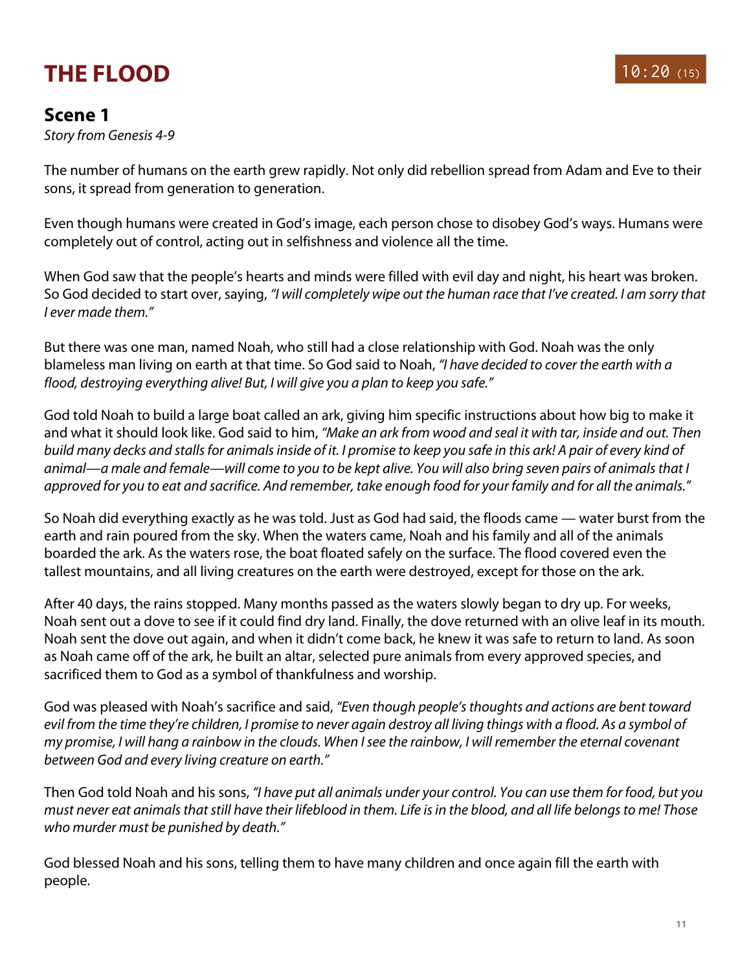# **THE FLOOD**

# **Scene 1**

Story from Genesis 4-9

The number of humans on the earth grew rapidly. Not only did rebellion spread from Adam and Eve to their sons, it spread from generation to generation.

Even though humans were created in God's image, each person chose to disobey God's ways. Humans were completely out of control, acting out in selfishness and violence all the time.

When God saw that the people's hearts and minds were filled with evil day and night, his heart was broken. So God decided to start over, saying, "I will completely wipe out the human race that I've created. I am sorry that I ever made them."

But there was one man, named Noah, who still had a close relationship with God. Noah was the only blameless man living on earth at that time. So God said to Noah, "I have decided to cover the earth with a flood, destroying everything alive! But, I will give you a plan to keep you safe."

God told Noah to build a large boat called an ark, giving him specific instructions about how big to make it and what it should look like. God said to him, "Make an ark from wood and seal it with tar, inside and out. Then build many decks and stalls for animals inside of it. I promise to keep you safe in this ark! A pair of every kind of animal—a male and female—will come to you to be kept alive. You will also bring seven pairs of animals that I approved for you to eat and sacrifice. And remember, take enough food for your family and for all the animals."

So Noah did everything exactly as he was told. Just as God had said, the floods came — water burst from the earth and rain poured from the sky. When the waters came, Noah and his family and all of the animals boarded the ark. As the waters rose, the boat floated safely on the surface. The flood covered even the tallest mountains, and all living creatures on the earth were destroyed, except for those on the ark.

After 40 days, the rains stopped. Many months passed as the waters slowly began to dry up. For weeks, Noah sent out a dove to see if it could find dry land. Finally, the dove returned with an olive leaf in its mouth. Noah sent the dove out again, and when it didn't come back, he knew it was safe to return to land. As soon as Noah came off of the ark, he built an altar, selected pure animals from every approved species, and sacrificed them to God as a symbol of thankfulness and worship.

God was pleased with Noah's sacrifice and said, "Even though people's thoughts and actions are bent toward evil from the time they're children, I promise to never again destroy all living things with a flood. As a symbol of my promise, I will hang a rainbow in the clouds. When I see the rainbow, I will remember the eternal covenant between God and every living creature on earth."

Then God told Noah and his sons, "I have put all animals under your control. You can use them for food, but you must never eat animals that still have their lifeblood in them. Life is in the blood, and all life belongs to me! Those who murder must be punished by death."

God blessed Noah and his sons, telling them to have many children and once again fill the earth with people.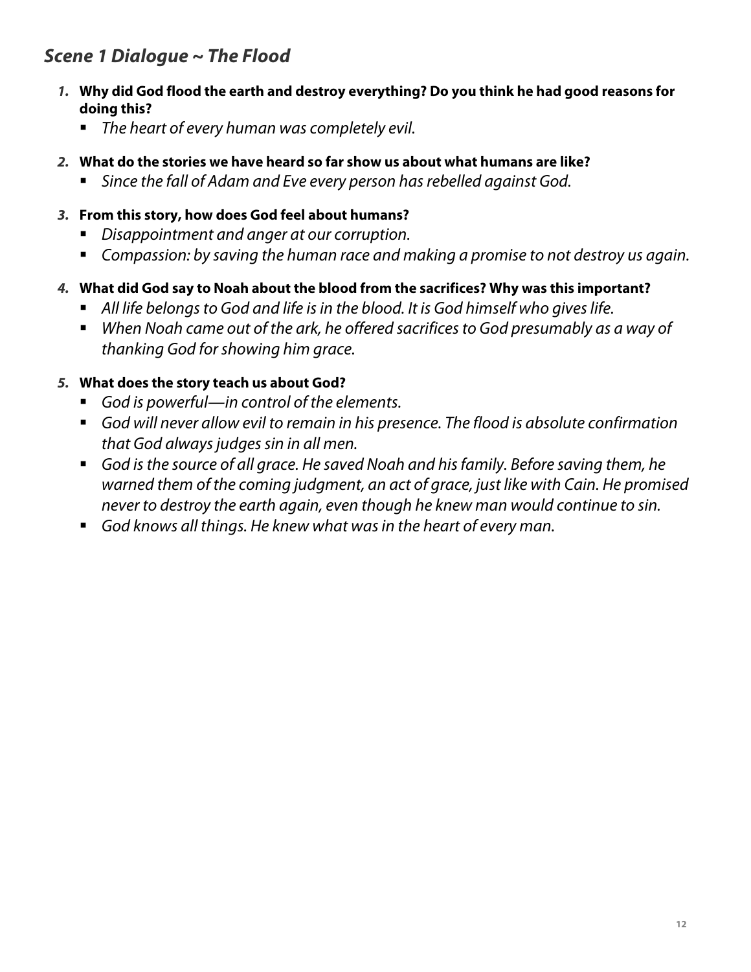# **Scene 1 Dialogue ~ The Flood**

- **1. Why did God flood the earth and destroy everything? Do you think he had good reasons for doing this?**
	- The heart of every human was completely evil.
- **2. What do the stories we have heard so far show us about what humans are like?**
	- Since the fall of Adam and Eve every person has rebelled against God.

#### **3. From this story, how does God feel about humans?**

- Disappointment and anger at our corruption.
- **Compassion:** by saving the human race and making a promise to not destroy us again.
- **4. What did God say to Noah about the blood from the sacrifices? Why was this important?**
	- All life belongs to God and life is in the blood. It is God himself who gives life.
	- When Noah came out of the ark, he offered sacrifices to God presumably as a way of thanking God for showing him grace.

#### **5. What does the story teach us about God?**

- God is powerful—in control of the elements.
- God will never allow evil to remain in his presence. The flood is absolute confirmation that God always judges sin in all men.
- God is the source of all grace. He saved Noah and his family. Before saving them, he warned them of the coming judgment, an act of grace, just like with Cain. He promised never to destroy the earth again, even though he knew man would continue to sin.
- God knows all things. He knew what was in the heart of every man.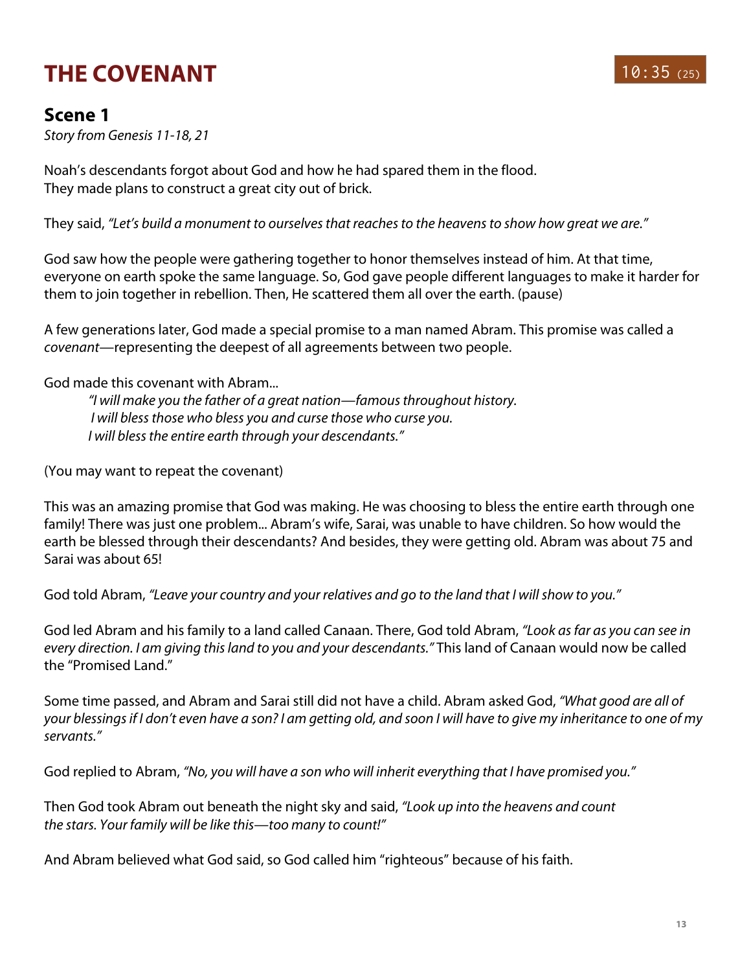# **THE COVENANT**

# **Scene 1**

Story from Genesis 11-18, 21

Noah's descendants forgot about God and how he had spared them in the flood. They made plans to construct a great city out of brick.

They said, "Let's build a monument to ourselves that reaches to the heavens to show how great we are."

God saw how the people were gathering together to honor themselves instead of him. At that time, everyone on earth spoke the same language. So, God gave people different languages to make it harder for them to join together in rebellion. Then, He scattered them all over the earth. (pause)

A few generations later, God made a special promise to a man named Abram. This promise was called a covenant—representing the deepest of all agreements between two people.

God made this covenant with Abram...

"I will make you the father of a great nation—famous throughout history. I will bless those who bless you and curse those who curse you. I will bless the entire earth through your descendants."

(You may want to repeat the covenant)

This was an amazing promise that God was making. He was choosing to bless the entire earth through one family! There was just one problem... Abram's wife, Sarai, was unable to have children. So how would the earth be blessed through their descendants? And besides, they were getting old. Abram was about 75 and Sarai was about 65!

God told Abram, "Leave your country and your relatives and go to the land that I will show to you."

God led Abram and his family to a land called Canaan. There, God told Abram, "Look as far as you can see in every direction. I am giving this land to you and your descendants." This land of Canaan would now be called the "Promised Land."

Some time passed, and Abram and Sarai still did not have a child. Abram asked God, "What good are all of your blessings if I don't even have a son? I am getting old, and soon I will have to give my inheritance to one of my servants."

God replied to Abram, "No, you will have a son who will inherit everything that I have promised you."

Then God took Abram out beneath the night sky and said, "Look up into the heavens and count the stars. Your family will be like this—too many to count!"

And Abram believed what God said, so God called him "righteous" because of his faith.

10:35 (25)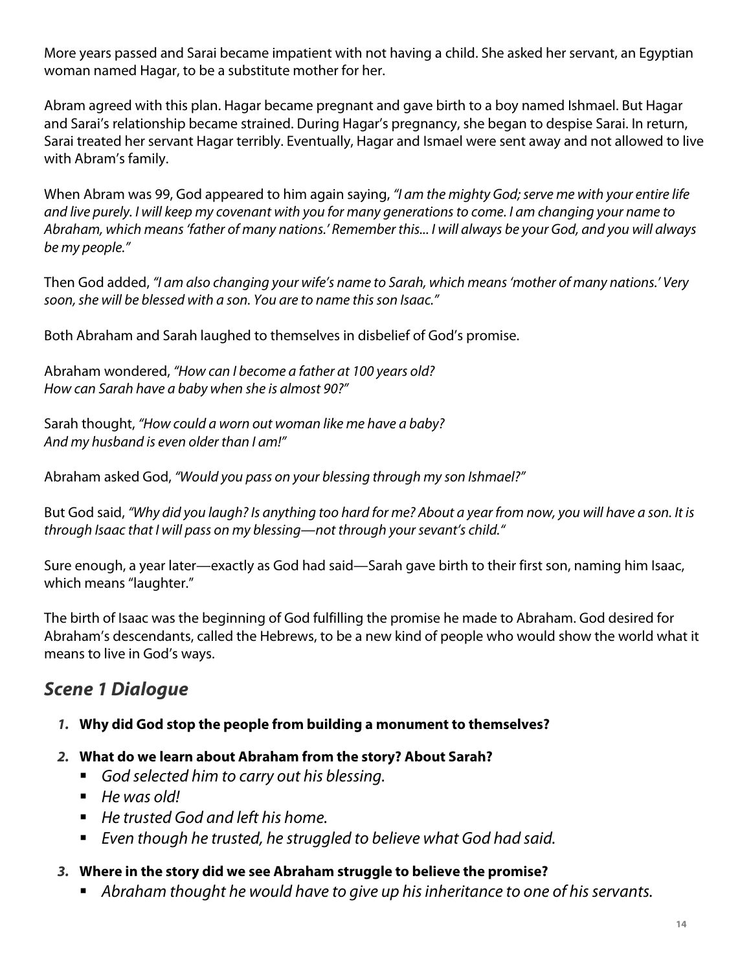More years passed and Sarai became impatient with not having a child. She asked her servant, an Egyptian woman named Hagar, to be a substitute mother for her.

Abram agreed with this plan. Hagar became pregnant and gave birth to a boy named Ishmael. But Hagar and Sarai's relationship became strained. During Hagar's pregnancy, she began to despise Sarai. In return, Sarai treated her servant Hagar terribly. Eventually, Hagar and Ismael were sent away and not allowed to live with Abram's family.

When Abram was 99, God appeared to him again saying, "I am the mighty God; serve me with your entire life and live purely. I will keep my covenant with you for many generations to come. I am changing your name to Abraham, which means 'father of many nations.' Remember this... I will always be your God, and you will always be my people."

Then God added, "I am also changing your wife's name to Sarah, which means 'mother of many nations.' Very soon, she will be blessed with a son. You are to name this son Isaac."

Both Abraham and Sarah laughed to themselves in disbelief of God's promise.

Abraham wondered, "How can I become a father at 100 years old? How can Sarah have a baby when she is almost 90?"

Sarah thought, "How could a worn out woman like me have a baby? And my husband is even older than I am!"

Abraham asked God, "Would you pass on your blessing through my son Ishmael?"

But God said, "Why did you laugh? Is anything too hard for me? About a year from now, you will have a son. It is through Isaac that I will pass on my blessing—not through your sevant's child."

Sure enough, a year later—exactly as God had said—Sarah gave birth to their first son, naming him Isaac, which means "laughter."

The birth of Isaac was the beginning of God fulfilling the promise he made to Abraham. God desired for Abraham's descendants, called the Hebrews, to be a new kind of people who would show the world what it means to live in God's ways.

# **Scene 1 Dialogue**

- **1. Why did God stop the people from building a monument to themselves?**
- **2. What do we learn about Abraham from the story? About Sarah?**
	- God selected him to carry out his blessing.
	- $\blacksquare$  He was old!
	- He trusted God and left his home.
	- Even though he trusted, he struggled to believe what God had said.

#### **3. Where in the story did we see Abraham struggle to believe the promise?**

■ Abraham thought he would have to give up his inheritance to one of his servants.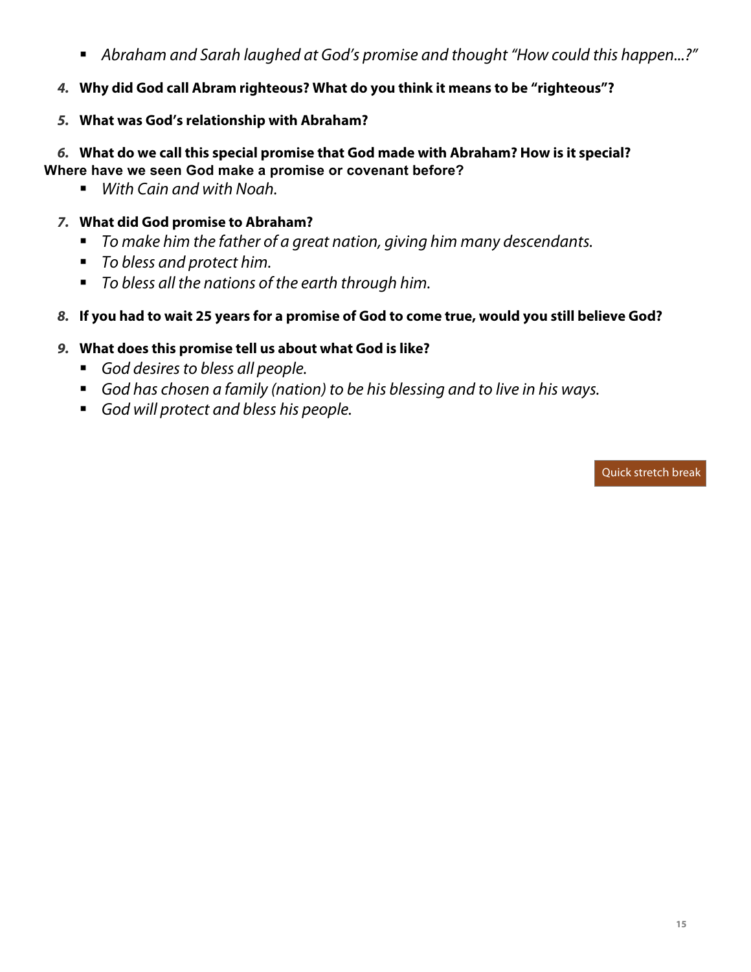- Abraham and Sarah laughed at God's promise and thought "How could this happen...?"
- **4. Why did God call Abram righteous? What do you think it means to be "righteous"?**
- **5. What was God's relationship with Abraham?**

#### **6. What do we call this special promise that God made with Abraham? How is it special? Where have we seen God make a promise or covenant before?**

With Cain and with Noah.

#### **7. What did God promise to Abraham?**

- To make him the father of a great nation, giving him many descendants.
- To bless and protect him.
- To bless all the nations of the earth through him.

#### **8. If you had to wait 25 years for a promise of God to come true, would you still believe God?**

#### **9. What does this promise tell us about what God is like?**

- God desires to bless all people.
- God has chosen a family (nation) to be his blessing and to live in his ways.
- God will protect and bless his people.

Quick stretch break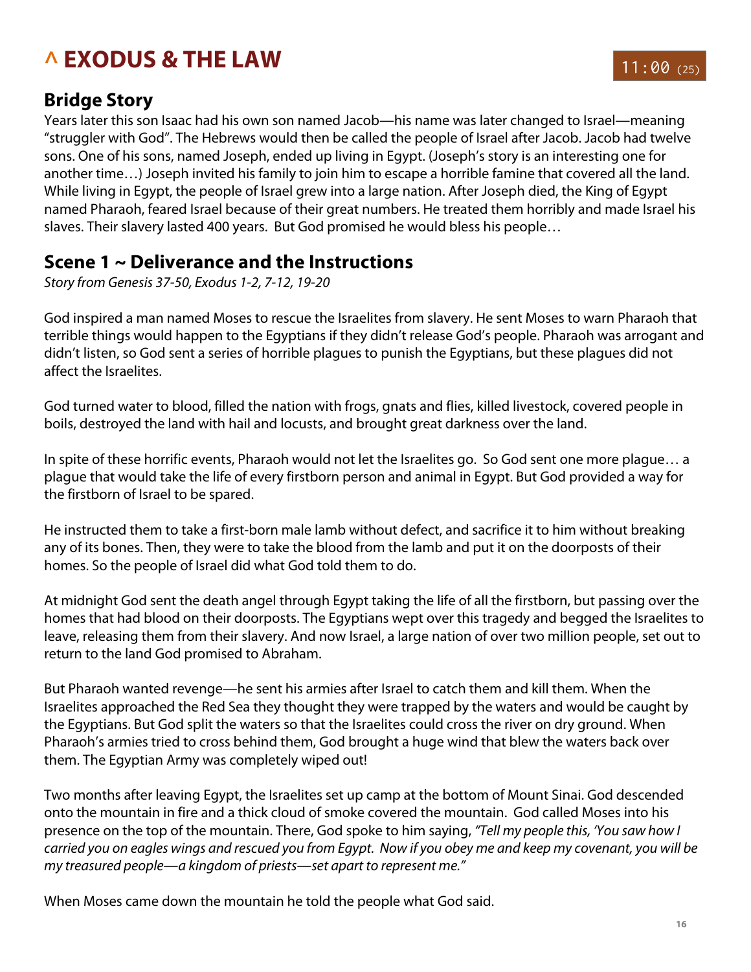# **^ EXODUS & THE LAW**

Years later this son Isaac had his own son named Jacob—his name was later changed to Israel—meaning "struggler with God". The Hebrews would then be called the people of Israel after Jacob. Jacob had twelve sons. One of his sons, named Joseph, ended up living in Egypt. (Joseph's story is an interesting one for another time…) Joseph invited his family to join him to escape a horrible famine that covered all the land. While living in Egypt, the people of Israel grew into a large nation. After Joseph died, the King of Egypt named Pharaoh, feared Israel because of their great numbers. He treated them horribly and made Israel his slaves. Their slavery lasted 400 years. But God promised he would bless his people…

# **Scene 1 ~ Deliverance and the Instructions**

Story from Genesis 37-50, Exodus 1-2, 7-12, 19-20

God inspired a man named Moses to rescue the Israelites from slavery. He sent Moses to warn Pharaoh that terrible things would happen to the Egyptians if they didn't release God's people. Pharaoh was arrogant and didn't listen, so God sent a series of horrible plagues to punish the Egyptians, but these plagues did not affect the Israelites.

God turned water to blood, filled the nation with frogs, gnats and flies, killed livestock, covered people in boils, destroyed the land with hail and locusts, and brought great darkness over the land.

In spite of these horrific events, Pharaoh would not let the Israelites go. So God sent one more plague… a plague that would take the life of every firstborn person and animal in Egypt. But God provided a way for the firstborn of Israel to be spared.

He instructed them to take a first-born male lamb without defect, and sacrifice it to him without breaking any of its bones. Then, they were to take the blood from the lamb and put it on the doorposts of their homes. So the people of Israel did what God told them to do.

At midnight God sent the death angel through Egypt taking the life of all the firstborn, but passing over the homes that had blood on their doorposts. The Egyptians wept over this tragedy and begged the Israelites to leave, releasing them from their slavery. And now Israel, a large nation of over two million people, set out to return to the land God promised to Abraham.

But Pharaoh wanted revenge—he sent his armies after Israel to catch them and kill them. When the Israelites approached the Red Sea they thought they were trapped by the waters and would be caught by the Egyptians. But God split the waters so that the Israelites could cross the river on dry ground. When Pharaoh's armies tried to cross behind them, God brought a huge wind that blew the waters back over them. The Egyptian Army was completely wiped out!

Two months after leaving Egypt, the Israelites set up camp at the bottom of Mount Sinai. God descended onto the mountain in fire and a thick cloud of smoke covered the mountain. God called Moses into his presence on the top of the mountain. There, God spoke to him saying, "Tell my people this, 'You saw how I carried you on eagles wings and rescued you from Egypt. Now if you obey me and keep my covenant, you will be my treasured people—a kingdom of priests—set apart to represent me."

When Moses came down the mountain he told the people what God said.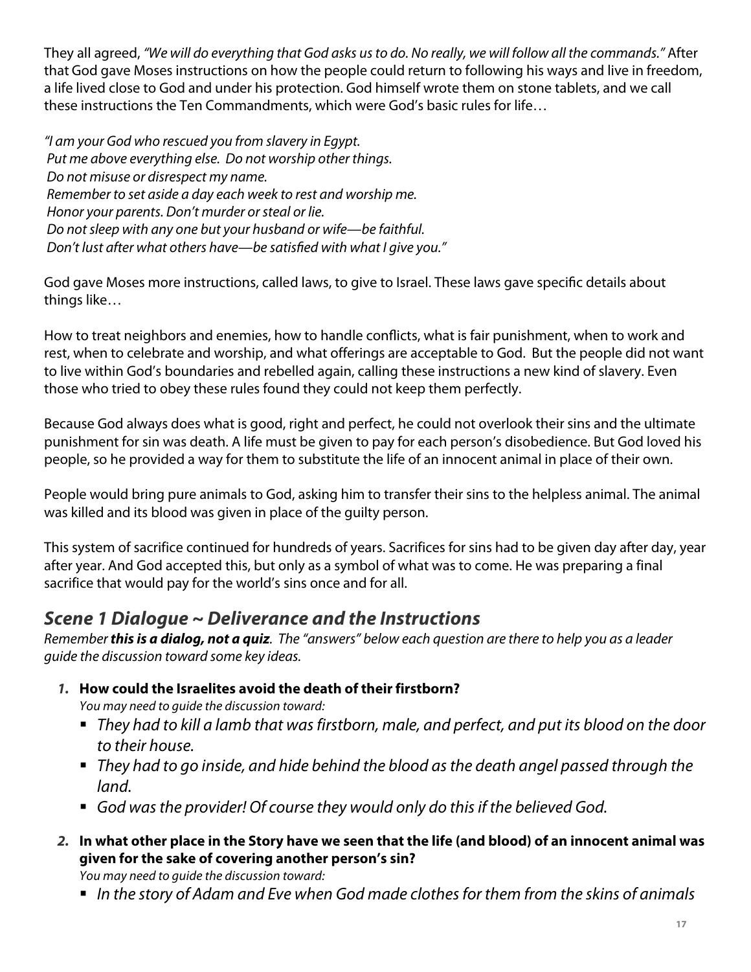They all agreed, "We will do everything that God asks us to do. No really, we will follow all the commands." After that God gave Moses instructions on how the people could return to following his ways and live in freedom, a life lived close to God and under his protection. God himself wrote them on stone tablets, and we call these instructions the Ten Commandments, which were God's basic rules for life…

"I am your God who rescued you from slavery in Egypt. Put me above everything else. Do not worship other things. Do not misuse or disrespect my name. Remember to set aside a day each week to rest and worship me. Honor your parents. Don't murder or steal or lie. Do not sleep with any one but your husband or wife—be faithful. Don't lust after what others have—be satisfed with what I give you."

God gave Moses more instructions, called laws, to give to Israel. These laws gave specifc details about things like…

How to treat neighbors and enemies, how to handle conficts, what is fair punishment, when to work and rest, when to celebrate and worship, and what offerings are acceptable to God.But the people did not want to live within God's boundaries and rebelled again, calling these instructions a new kind of slavery. Even those who tried to obey these rules found they could not keep them perfectly.

Because God always does what is good, right and perfect, he could not overlook their sins and the ultimate punishment for sin was death. A life must be given to pay for each person's disobedience. But God loved his people, so he provided a way for them to substitute the life of an innocent animal in place of their own.

People would bring pure animals to God, asking him to transfer their sins to the helpless animal. The animal was killed and its blood was given in place of the guilty person.

This system of sacrifice continued for hundreds of years. Sacrifices for sins had to be given day after day, year after year. And God accepted this, but only as a symbol of what was to come. He was preparing a final sacrifice that would pay for the world's sins once and for all.

# **Scene 1 Dialogue ~ Deliverance and the Instructions**

Remember **this is a dialog, not a quiz**. The "answers" below each question are there to help you as a leader guide the discussion toward some key ideas.

**1. How could the Israelites avoid the death of their firstborn?**

You may need to guide the discussion toward:

- They had to kill a lamb that was firstborn, male, and perfect, and put its blood on the door to their house.
- They had to go inside, and hide behind the blood as the death angel passed through the land.
- God was the provider! Of course they would only do this if the believed God.

#### **2. In what other place in the Story have we seen that the life (and blood) of an innocent animal was given for the sake of covering another person's sin?**

You may need to guide the discussion toward:

In the story of Adam and Eve when God made clothes for them from the skins of animals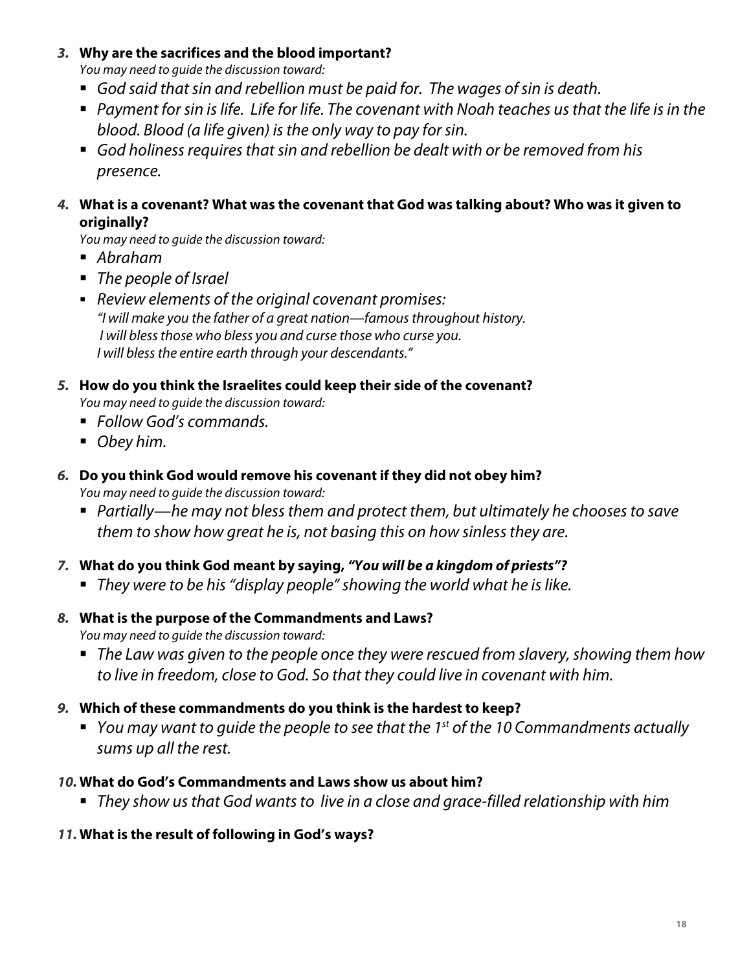#### **3. Why are the sacrifices and the blood important?**

You may need to guide the discussion toward:

- God said that sin and rebellion must be paid for. The wages of sin is death.
- Payment for sin is life. Life for life. The covenant with Noah teaches us that the life is in the blood. Blood (a life given) is the only way to pay for sin.
- God holiness requires that sin and rebellion be dealt with or be removed from his presence.

#### **4. What is a covenant? What was the covenant that God was talking about? Who was it given to originally?**

You may need to guide the discussion toward:

- Abraham
- The people of Israel
- Review elements of the original covenant promises: "I will make you the father of a great nation—famous throughout history. I will bless those who bless you and curse those who curse you. I will bless the entire earth through your descendants."

#### **5. How do you think the Israelites could keep their side of the covenant?**

You may need to guide the discussion toward:

- Follow God's commands.
- Obey him.
- **6. Do you think God would remove his covenant if they did not obey him?** You may need to guide the discussion toward:
	- Partially—he may not bless them and protect them, but ultimately he chooses to save them to show how great he is, not basing this on how sinless they are.

#### **7. What do you think God meant by saying, "You will be a kingdom of priests"?**

■ They were to be his "display people" showing the world what he is like.

### **8. What is the purpose of the Commandments and Laws?**

You may need to guide the discussion toward:

• The Law was given to the people once they were rescued from slavery, showing them how to live in freedom, close to God. So that they could live in covenant with him.

#### **9. Which of these commandments do you think is the hardest to keep?**

You may want to guide the people to see that the  $1<sup>st</sup>$  of the 10 Commandments actually sums up all the rest.

#### **10. What do God's Commandments and Laws show us about him?**

■ They show us that God wants to live in a close and grace-filled relationship with him

#### **11. What is the result of following in God's ways?**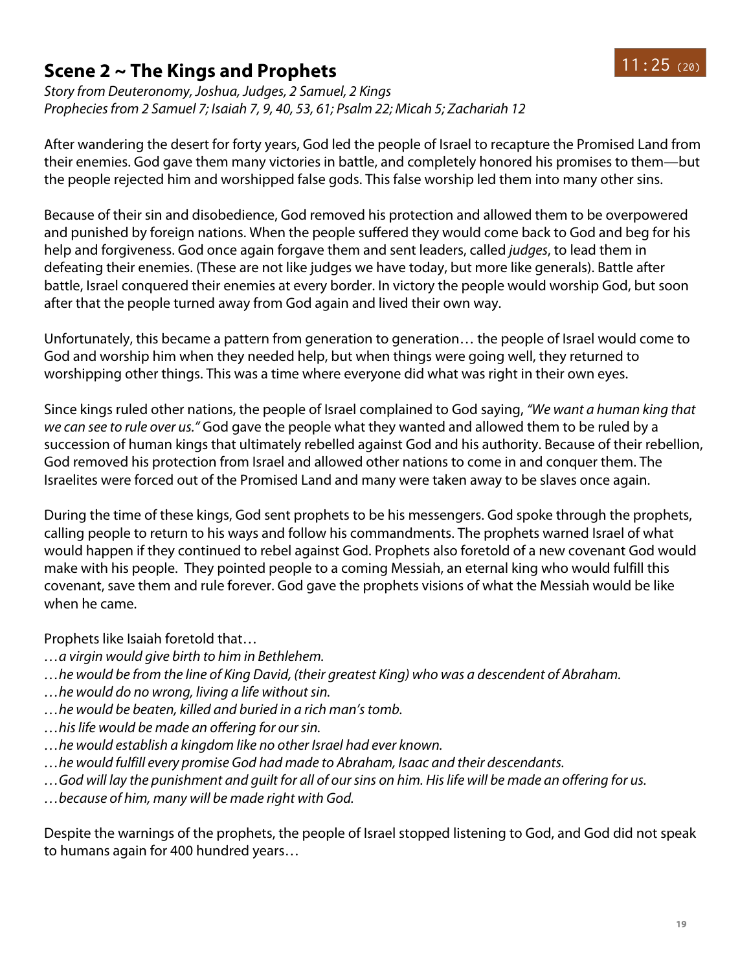# **Scene 2 ~ The Kings and Prophets**

Story from Deuteronomy, Joshua, Judges, 2 Samuel, 2 Kings Prophecies from 2 Samuel 7; Isaiah 7, 9, 40, 53, 61; Psalm 22; Micah 5; Zachariah 12

After wandering the desert for forty years, God led the people of Israel to recapture the Promised Land from their enemies. God gave them many victories in battle, and completely honored his promises to them—but the people rejected him and worshipped false gods. This false worship led them into many other sins.

Because of their sin and disobedience, God removed his protection and allowed them to be overpowered and punished by foreign nations. When the people suffered they would come back to God and beg for his help and forgiveness. God once again forgave them and sent leaders, called judges, to lead them in defeating their enemies. (These are not like judges we have today, but more like generals). Battle after battle, Israel conquered their enemies at every border. In victory the people would worship God, but soon after that the people turned away from God again and lived their own way.

Unfortunately, this became a pattern from generation to generation… the people of Israel would come to God and worship him when they needed help, but when things were going well, they returned to worshipping other things. This was a time where everyone did what was right in their own eyes.

Since kings ruled other nations, the people of Israel complained to God saying, "We want a human king that we can see to rule over us." God gave the people what they wanted and allowed them to be ruled by a succession of human kings that ultimately rebelled against God and his authority. Because of their rebellion, God removed his protection from Israel and allowed other nations to come in and conquer them. The Israelites were forced out of the Promised Land and many were taken away to be slaves once again.

During the time of these kings, God sent prophets to be his messengers. God spoke through the prophets, calling people to return to his ways and follow his commandments. The prophets warned Israel of what would happen if they continued to rebel against God. Prophets also foretold of a new covenant God would make with his people. They pointed people to a coming Messiah, an eternal king who would fulfill this covenant, save them and rule forever. God gave the prophets visions of what the Messiah would be like when he came.

Prophets like Isaiah foretold that…

- …a virgin would give birth to him in Bethlehem.
- …he would be from the line of King David, (their greatest King) who was a descendent of Abraham.
- …he would do no wrong, living a life without sin.
- …he would be beaten, killed and buried in a rich man's tomb.
- …his life would be made an offering for our sin.
- …he would establish a kingdom like no other Israel had ever known.
- …he would fulfill every promise God had made to Abraham, Isaac and their descendants.
- …God will lay the punishment and guilt for all of our sins on him. His life will be made an offering for us.
- …because of him, many will be made right with God.

Despite the warnings of the prophets, the people of Israel stopped listening to God, and God did not speak to humans again for 400 hundred years…

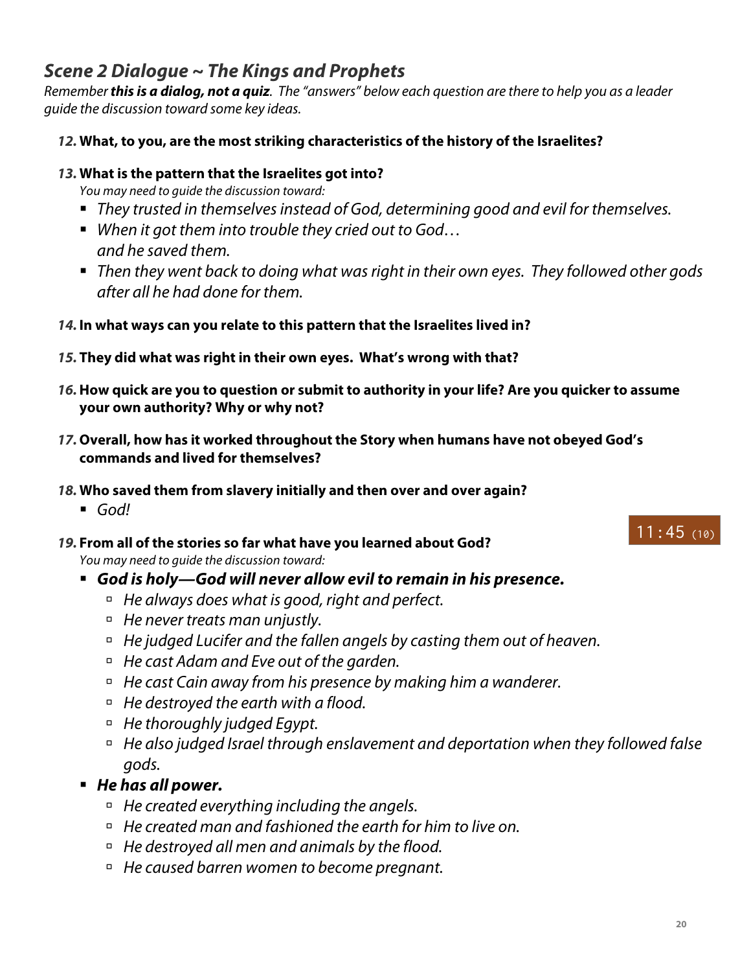# **Scene 2 Dialogue ~ The Kings and Prophets**

Remember **this is a dialog, not a quiz**. The "answers" below each question are there to help you as a leader guide the discussion toward some key ideas.

#### **12. What, to you, are the most striking characteristics of the history of the Israelites?**

#### **13. What is the pattern that the Israelites got into?**

You may need to guide the discussion toward:

- They trusted in themselves instead of God, determining good and evil for themselves.
- When it got them into trouble they cried out to God... and he saved them.
- Then they went back to doing what was right in their own eyes. They followed other gods after all he had done for them.

#### **14. In what ways can you relate to this pattern that the Israelites lived in?**

- **15. They did what was right in their own eyes. What's wrong with that?**
- **16.How quick are you to question or submit to authority in your life? Are you quicker to assume your own authority? Why or why not?**
- **17. Overall, how has it worked throughout the Story when humans have not obeyed God's commands and lived for themselves?**
- **18. Who saved them from slavery initially and then over and over again?** 
	- God!

# **19. From all of the stories so far what have you learned about God?**

You may need to guide the discussion toward:

- **God is holy—God will never allow evil to remain in his presence.**
	- $\Box$  He always does what is good, right and perfect.
	- $\Box$  He never treats man unjustly.
	- $\Box$  He judged Lucifer and the fallen angels by casting them out of heaven.
	- $\Box$  He cast Adam and Eve out of the garden.
	- $\Box$  He cast Cain away from his presence by making him a wanderer.
	- $\Box$  He destroyed the earth with a flood.
	- $\Box$  He thoroughly judged Egypt.
	- $\Box$  He also judged Israel through enslavement and deportation when they followed false gods.
- **He has all power.**
	- $\Box$  He created everything including the angels.
	- $\Box$  He created man and fashioned the earth for him to live on.
	- $\Box$  He destroyed all men and animals by the flood.
	- $\Box$  He caused barren women to become pregnant.

11:45 (10)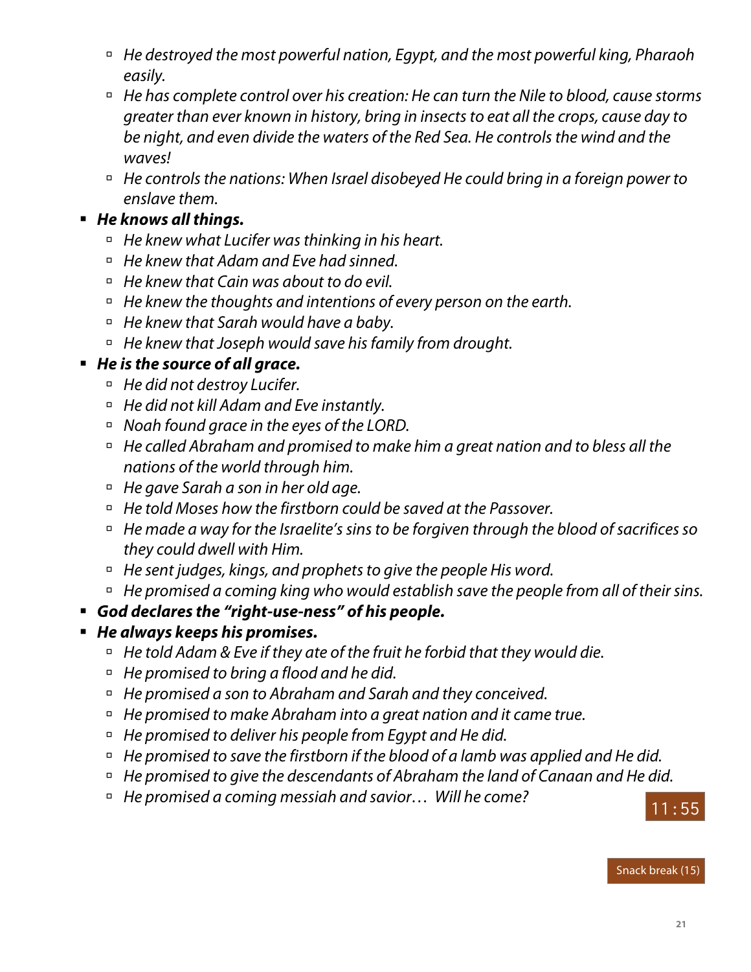- $\Box$  He destroyed the most powerful nation, Egypt, and the most powerful king, Pharaoh easily.
- □ He has complete control over his creation: He can turn the Nile to blood, cause storms greater than ever known in history, bring in insects to eat all the crops, cause day to be night, and even divide the waters of the Red Sea. He controls the wind and the waves!
- $\Box$  He controls the nations: When Israel disobeyed He could bring in a foreign power to enslave them.

### **He knows all things.**

- $\Box$  He knew what Lucifer was thinking in his heart.
- $\Box$  He knew that Adam and Eve had sinned.
- □ He knew that Cain was about to do evil.
- $\Box$  He knew the thoughts and intentions of every person on the earth.
- $\Box$  He knew that Sarah would have a baby.
- $\Box$  He knew that Joseph would save his family from drought.

### **He is the source of all grace.**

- □ He did not destroy Lucifer.
- $\Box$  He did not kill Adam and Eve instantly.
- $\Box$  Noah found grace in the eyes of the LORD.
- $\Box$  He called Abraham and promised to make him a great nation and to bless all the nations of the world through him.
- $\Box$  He gave Sarah a son in her old age.
- □ He told Moses how the firstborn could be saved at the Passover.
- $\Box$  He made a way for the Israelite's sins to be forgiven through the blood of sacrifices so they could dwell with Him.
- $\Box$  He sent judges, kings, and prophets to give the people His word.
- $\Box$  He promised a coming king who would establish save the people from all of their sins.
- **God declares the "right-use-ness" of his people.**
- **He always keeps his promises.**
	- $\Box$  He told Adam & Eve if they ate of the fruit he forbid that they would die.
	- $\Box$  He promised to bring a flood and he did.
	- □ He promised a son to Abraham and Sarah and they conceived.
	- $\Box$  He promised to make Abraham into a great nation and it came true.
	- $\Box$  He promised to deliver his people from Egypt and He did.
	- $\Box$  He promised to save the firstborn if the blood of a lamb was applied and He did.
	- $\Box$  He promised to give the descendants of Abraham the land of Canaan and He did.
	- □ He promised a coming messiah and savior... Will he come?<br>11:55



#### Snack break (15)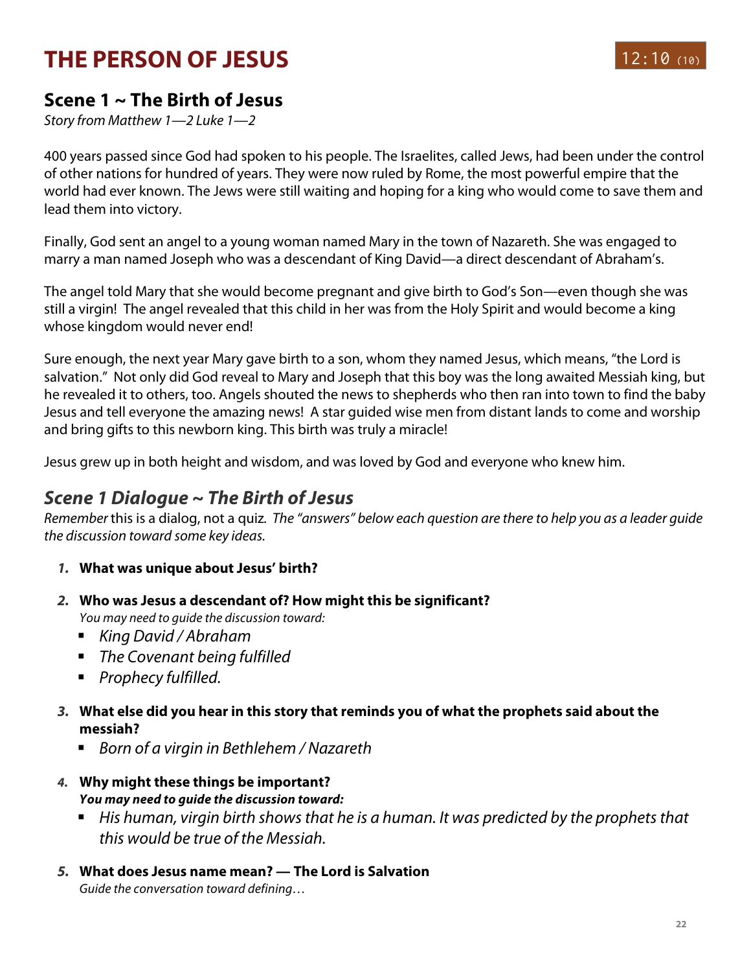# **THE PERSON OF JESUS**



# **Scene 1 ~ The Birth of Jesus**

Story from Matthew 1—2 Luke 1—2

400 years passed since God had spoken to his people. The Israelites, called Jews, had been under the control of other nations for hundred of years. They were now ruled by Rome, the most powerful empire that the world had ever known. The Jews were still waiting and hoping for a king who would come to save them and lead them into victory.

Finally, God sent an angel to a young woman named Mary in the town of Nazareth. She was engaged to marry a man named Joseph who was a descendant of King David—a direct descendant of Abraham's.

The angel told Mary that she would become pregnant and give birth to God's Son—even though she was still a virgin! The angel revealed that this child in her was from the Holy Spirit and would become a king whose kingdom would never end!

Sure enough, the next year Mary gave birth to a son, whom they named Jesus, which means, "the Lord is salvation." Not only did God reveal to Mary and Joseph that this boy was the long awaited Messiah king, but he revealed it to others, too. Angels shouted the news to shepherds who then ran into town to find the baby Jesus and tell everyone the amazing news! A star guided wise men from distant lands to come and worship and bring gifts to this newborn king. This birth was truly a miracle!

Jesus grew up in both height and wisdom, and was loved by God and everyone who knew him.

### **Scene 1 Dialogue ~ The Birth of Jesus**

Remember this is a dialog, not a quiz. The "answers" below each question are there to help you as a leader guide the discussion toward some key ideas.

- **1. What was unique about Jesus' birth?**
- **2. Who was Jesus a descendant of? How might this be significant?**

You may need to guide the discussion toward:

- King David / Abraham
- The Covenant being fulfilled
- **Prophecy fulfilled.**

#### **3. What else did you hear in this story that reminds you of what the prophets said about the messiah?**

- Born of a virgin in Bethlehem / Nazareth
- **4. Why might these things be important? You may need to guide the discussion toward:**
	- His human, virgin birth shows that he is a human. It was predicted by the prophets that this would be true of the Messiah.
- **5. What does Jesus name mean? The Lord is Salvation** Guide the conversation toward defining…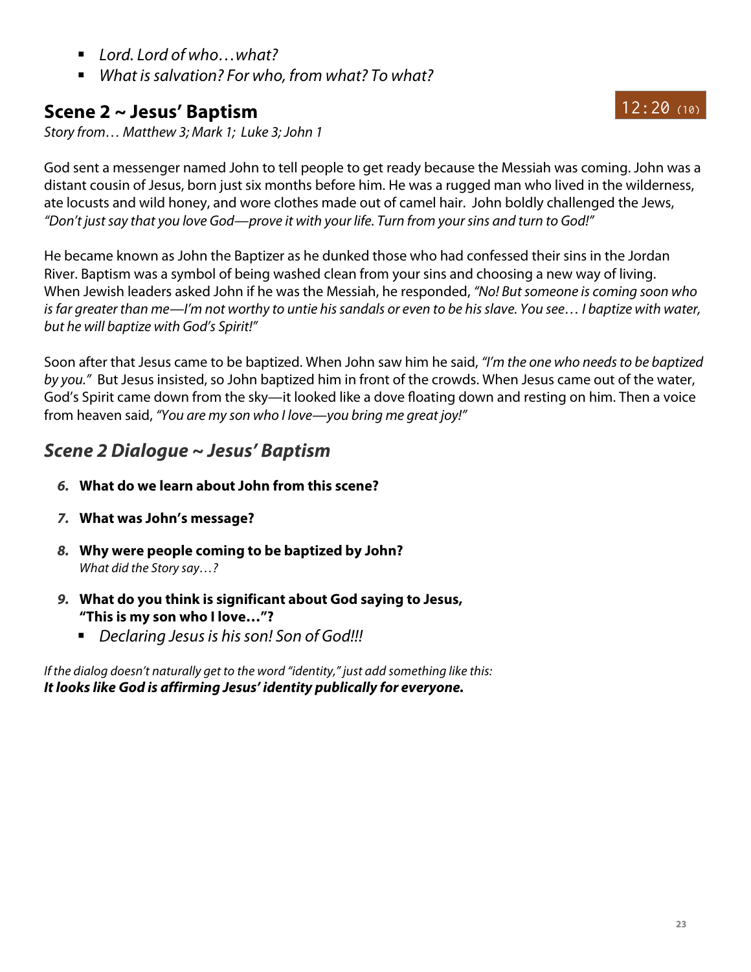- Lord. Lord of who...what?
- What is salvation? For who, from what? To what?

# **Scene 2 ~ Jesus' Baptism**

Story from… Matthew 3; Mark 1; Luke 3; John 1

God sent a messenger named John to tell people to get ready because the Messiah was coming. John was a distant cousin of Jesus, born just six months before him. He was a rugged man who lived in the wilderness, ate locusts and wild honey, and wore clothes made out of camel hair. John boldly challenged the Jews, "Don't just say that you love God—prove it with your life. Turn from your sins and turn to God!"

He became known as John the Baptizer as he dunked those who had confessed their sins in the Jordan River. Baptism was a symbol of being washed clean from your sins and choosing a new way of living. When Jewish leaders asked John if he was the Messiah, he responded, "No! But someone is coming soon who is far greater than me—I'm not worthy to untie his sandals or even to be his slave. You see… I baptize with water, but he will baptize with God's Spirit!"

Soon after that Jesus came to be baptized. When John saw him he said, "I'm the one who needs to be baptized by you." But Jesus insisted, so John baptized him in front of the crowds. When Jesus came out of the water, God's Spirit came down from the sky—it looked like a dove foating down and resting on him. Then a voice from heaven said, "You are my son who I love—you bring me great joy!"

# **Scene 2 Dialogue ~ Jesus' Baptism**

- **6. What do we learn about John from this scene?**
- **7. What was John's message?**
- **8. Why were people coming to be baptized by John?** What did the Story say…?
- **9. What do you think is significant about God saying to Jesus, "This is my son who I love…"?**
	- Declaring Jesus is his son! Son of God!!!

If the dialog doesn't naturally get to the word "identity," just add something like this: **It looks like God is affirming Jesus' identity publically for everyone.**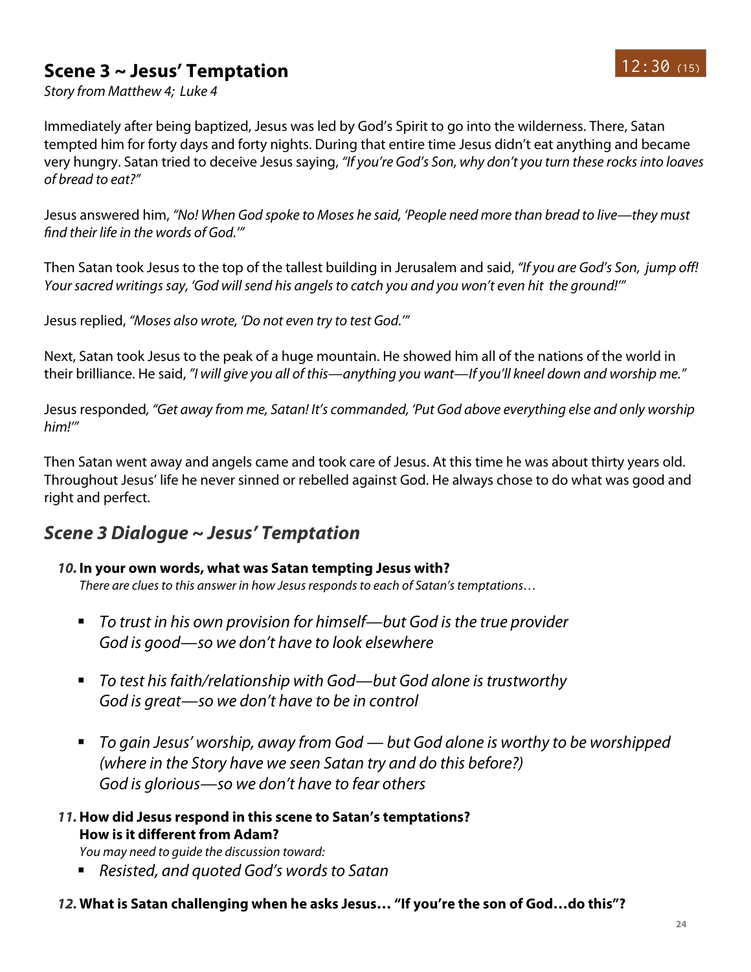# **Scene 3 ~ Jesus' Temptation**

Story from Matthew 4; Luke 4

Immediately after being baptized, Jesus was led by God's Spirit to go into the wilderness. There, Satan tempted him for forty days and forty nights. During that entire time Jesus didn't eat anything and became very hungry. Satan tried to deceive Jesus saying, "If you're God's Son, why don't you turn these rocks into loaves of bread to eat?"

Jesus answered him, "No! When God spoke to Moses he said, 'People need more than bread to live—they must fnd their life in the words of God.'"

Then Satan took Jesus to the top of the tallest building in Jerusalem and said, "If you are God's Son, jump off! Your sacred writings say, 'God will send his angels to catch you and you won't even hit the ground!'"

Jesus replied, "Moses also wrote, 'Do not even try to test God.'"

Next, Satan took Jesus to the peak of a huge mountain. He showed him all of the nations of the world in their brilliance. He said, "I will give you all of this—anything you want—If you'll kneel down and worship me."

Jesus responded, "Get away from me, Satan! It's commanded, 'Put God above everything else and only worship him!'"

Then Satan went away and angels came and took care of Jesus. At this time he was about thirty years old. Throughout Jesus' life he never sinned or rebelled against God. He always chose to do what was good and right and perfect.

### **Scene 3 Dialogue ~ Jesus' Temptation**

#### **10. In your own words, what was Satan tempting Jesus with?**

There are clues to this answer in how Jesus responds to each of Satan's temptations…

- To trust in his own provision for himself—but God is the true provider God is good—so we don't have to look elsewhere
- To test his faith/relationship with God—but God alone is trustworthy God is great—so we don't have to be in control
- To gain Jesus' worship, away from God but God alone is worthy to be worshipped (where in the Story have we seen Satan try and do this before?) God is glorious—so we don't have to fear others

#### **11.How did Jesus respond in this scene to Satan's temptations? How is it different from Adam?**

You may need to guide the discussion toward:

- Resisted, and quoted God's words to Satan
- **12. What is Satan challenging when he asks Jesus… "If you're the son of God…do this"?**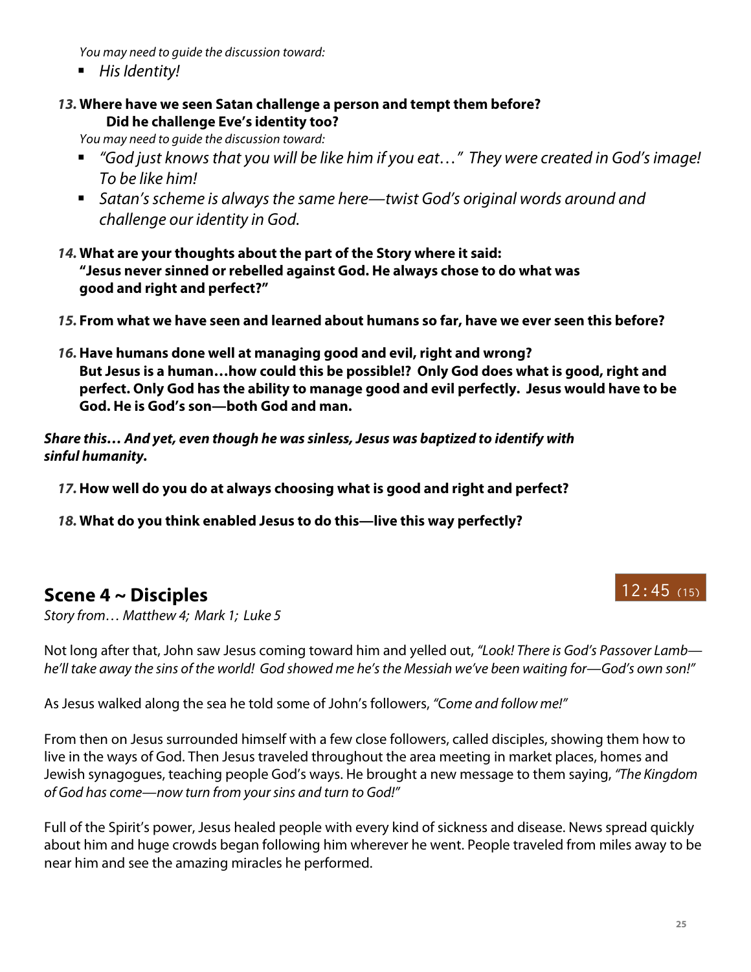You may need to guide the discussion toward:

- His Identity!
- **13. Where have we seen Satan challenge a person and tempt them before? Did he challenge Eve's identity too?**

You may need to guide the discussion toward:

- "God just knows that you will be like him if you eat..." They were created in God's image! To be like him!
- Satan's scheme is always the same here—twist God's original words around and challenge our identity in God.
- **14. What are your thoughts about the part of the Story where it said: "Jesus never sinned or rebelled against God. He always chose to do what was good and right and perfect?"**
- **15. From what we have seen and learned about humans so far, have we ever seen this before?**
- **16.Have humans done well at managing good and evil, right and wrong? But Jesus is a human…how could this be possible!? Only God does what is good, right and perfect. Only God has the ability to manage good and evil perfectly. Jesus would have to be God. He is God's son—both God and man.**

**Share this… And yet, even though he was sinless, Jesus was baptized to identify with sinful humanity.**

- **17.How well do you do at always choosing what is good and right and perfect?**
- **18. What do you think enabled Jesus to do this—live this way perfectly?**

# **Scene 4 ~ Disciples**

Story from… Matthew 4; Mark 1; Luke 5

Not long after that, John saw Jesus coming toward him and yelled out, "Look! There is God's Passover Lamb he'll take away the sins of the world! God showed me he's the Messiah we've been waiting for—God's own son!"

As Jesus walked along the sea he told some of John's followers, "Come and follow me!"

From then on Jesus surrounded himself with a few close followers, called disciples, showing them how to live in the ways of God. Then Jesus traveled throughout the area meeting in market places, homes and Jewish synagogues, teaching people God's ways. He brought a new message to them saying, "The Kingdom of God has come—now turn from your sins and turn to God!"

Full of the Spirit's power, Jesus healed people with every kind of sickness and disease. News spread quickly about him and huge crowds began following him wherever he went. People traveled from miles away to be near him and see the amazing miracles he performed.



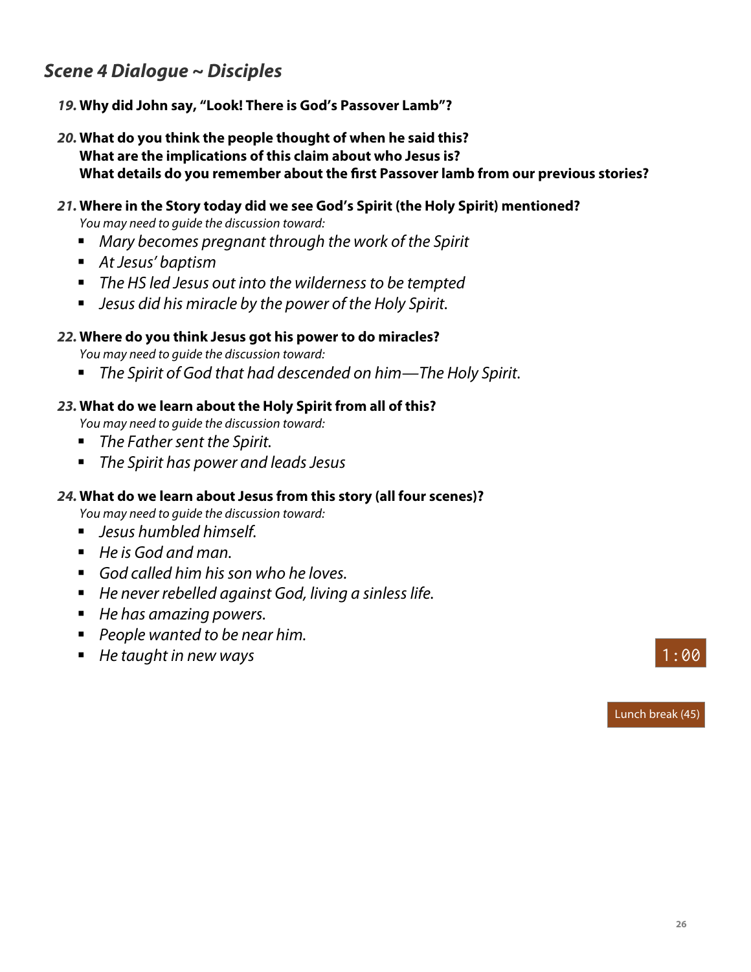# **Scene 4 Dialogue ~ Disciples**

#### **19. Why did John say, "Look! There is God's Passover Lamb"?**

**20. What do you think the people thought of when he said this? What are the implications of this claim about who Jesus is? What details do you remember about the frst Passover lamb from our previous stories?**

#### **21. Where in the Story today did we see God's Spirit (the Holy Spirit) mentioned?**

You may need to guide the discussion toward:

- Mary becomes pregnant through the work of the Spirit
- At Jesus' baptism
- The HS led Jesus out into the wilderness to be tempted
- **UPSO** Jesus did his miracle by the power of the Holy Spirit.

#### **22. Where do you think Jesus got his power to do miracles?**

You may need to guide the discussion toward:

■ The Spirit of God that had descended on him—The Holy Spirit.

#### **23. What do we learn about the Holy Spirit from all of this?**

You may need to guide the discussion toward:

- The Father sent the Spirit.
- The Spirit has power and leads Jesus

#### **24. What do we learn about Jesus from this story (all four scenes)?**

You may need to guide the discussion toward:

- Jesus humbled himself.
- $\blacksquare$  He is God and man.
- God called him his son who he loves.
- He never rebelled against God, living a sinless life.
- $\blacksquare$  He has amazing powers.
- **People wanted to be near him.**
- $\blacksquare$  He taught in new ways  $\blacksquare$  1:00



Lunch break (45)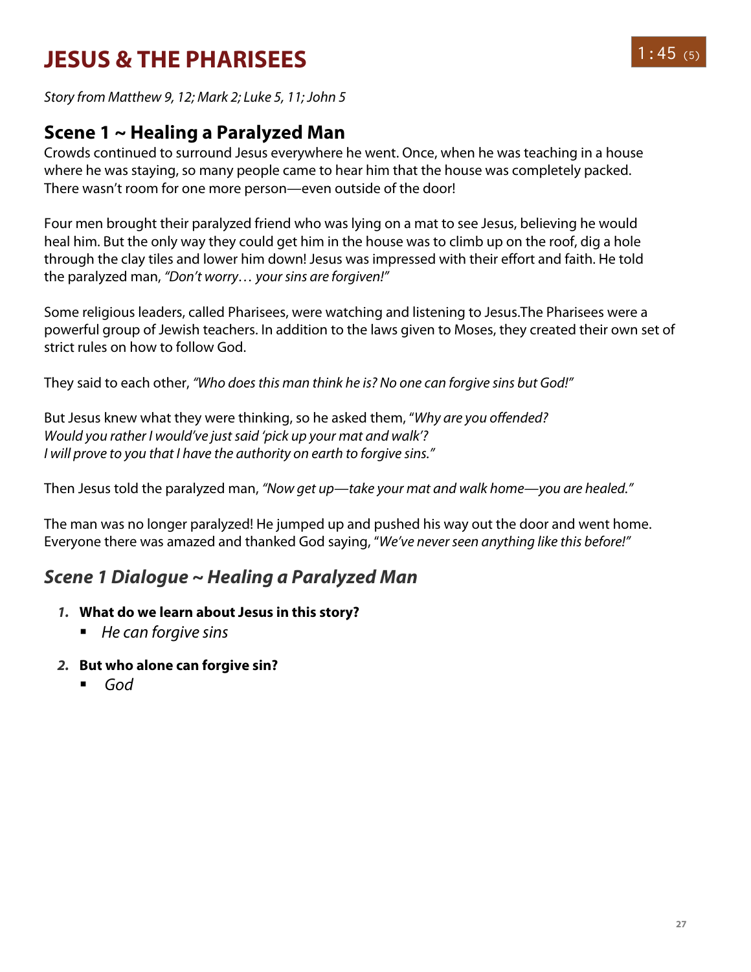# **JESUS & THE PHARISEES**



Story from Matthew 9, 12; Mark 2; Luke 5, 11; John 5

# **Scene 1 ~ Healing a Paralyzed Man**

Crowds continued to surround Jesus everywhere he went. Once, when he was teaching in a house where he was staying, so many people came to hear him that the house was completely packed. There wasn't room for one more person—even outside of the door!

Four men brought their paralyzed friend who was lying on a mat to see Jesus, believing he would heal him. But the only way they could get him in the house was to climb up on the roof, dig a hole through the clay tiles and lower him down! Jesus was impressed with their effort and faith. He told the paralyzed man, "Don't worry… your sins are forgiven!"

Some religious leaders, called Pharisees, were watching and listening to Jesus.The Pharisees were a powerful group of Jewish teachers. In addition to the laws given to Moses, they created their own set of strict rules on how to follow God.

They said to each other, "Who does this man think he is? No one can forgive sins but God!"

But Jesus knew what they were thinking, so he asked them, "Why are you offended? Would you rather I would've just said 'pick up your mat and walk'? I will prove to you that I have the authority on earth to forgive sins."

Then Jesus told the paralyzed man, "Now get up—take your mat and walk home—you are healed."

The man was no longer paralyzed! He jumped up and pushed his way out the door and went home. Everyone there was amazed and thanked God saying, "We've never seen anything like this before!"

### **Scene 1 Dialogue ~ Healing a Paralyzed Man**

- **1. What do we learn about Jesus in this story?**
	- $\blacksquare$  He can forgive sins
- **2. But who alone can forgive sin?**
	- $\overline{\phantom{a}}$  God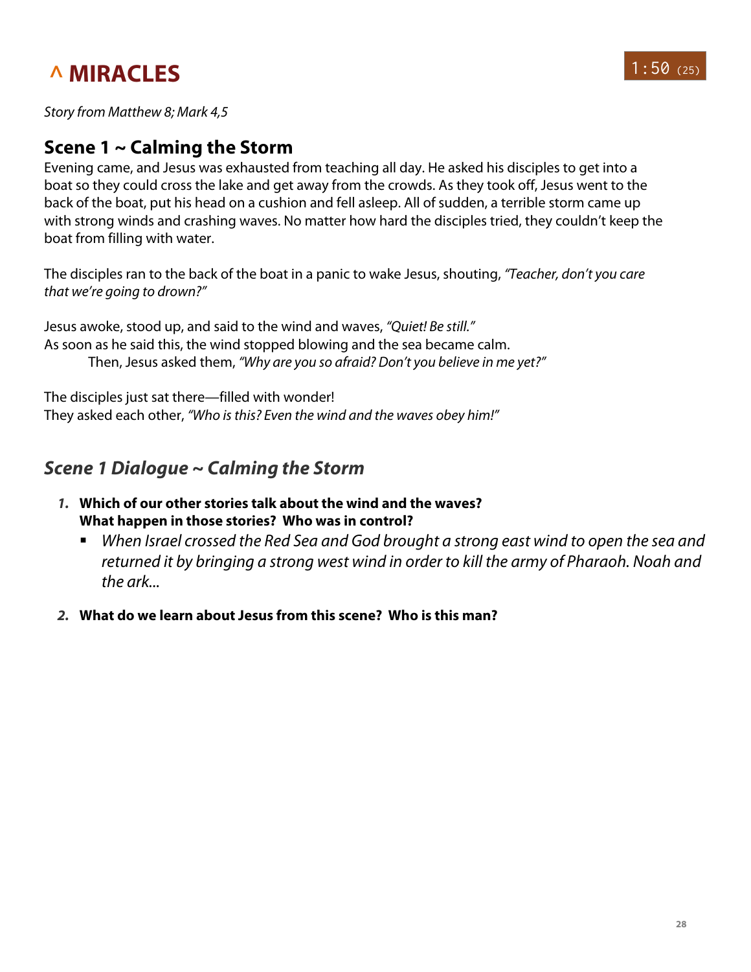# **^ MIRACLES**

Story from Matthew 8; Mark 4,5

# **Scene 1 ~ Calming the Storm**

Evening came, and Jesus was exhausted from teaching all day. He asked his disciples to get into a boat so they could cross the lake and get away from the crowds. As they took off, Jesus went to the back of the boat, put his head on a cushion and fell asleep. All of sudden, a terrible storm came up with strong winds and crashing waves. No matter how hard the disciples tried, they couldn't keep the boat from filling with water.

The disciples ran to the back of the boat in a panic to wake Jesus, shouting, "Teacher, don't you care that we're going to drown?"

Jesus awoke, stood up, and said to the wind and waves, "Quiet! Be still." As soon as he said this, the wind stopped blowing and the sea became calm. Then, Jesus asked them, "Why are you so afraid? Don't you believe in me yet?"

The disciples just sat there—filled with wonder! They asked each other, "Who is this? Even the wind and the waves obey him!"

### **Scene 1 Dialogue ~ Calming the Storm**

- **1. Which of our other stories talk about the wind and the waves? What happen in those stories? Who was in control?**
	- When Israel crossed the Red Sea and God brought a strong east wind to open the sea and returned it by bringing a strong west wind in order to kill the army of Pharaoh. Noah and the ark...
- **2. What do we learn about Jesus from this scene? Who is this man?**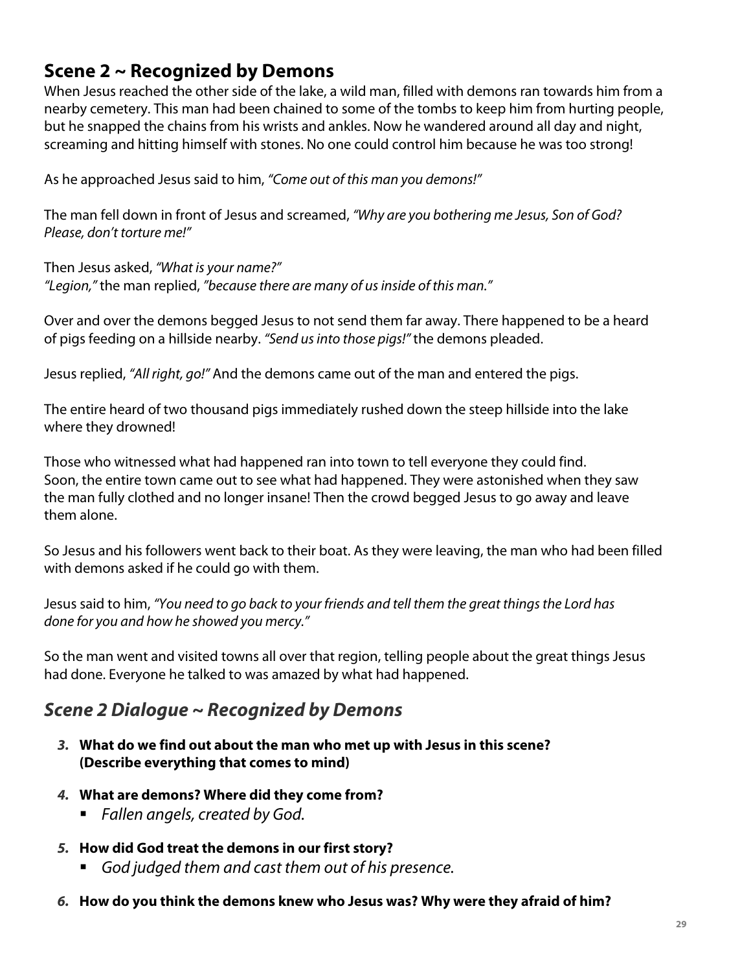# **Scene 2 ~ Recognized by Demons**

When Jesus reached the other side of the lake, a wild man, filled with demons ran towards him from a nearby cemetery. This man had been chained to some of the tombs to keep him from hurting people, but he snapped the chains from his wrists and ankles. Now he wandered around all day and night, screaming and hitting himself with stones. No one could control him because he was too strong!

As he approached Jesus said to him, "Come out of this man you demons!"

The man fell down in front of Jesus and screamed, "Why are you bothering me Jesus, Son of God? Please, don't torture me!"

Then Jesus asked, "What is your name?" "Legion," the man replied, "because there are many of us inside of this man."

Over and over the demons begged Jesus to not send them far away. There happened to be a heard of pigs feeding on a hillside nearby. "Send us into those pigs!" the demons pleaded.

Jesus replied, "All right, go!" And the demons came out of the man and entered the pigs.

The entire heard of two thousand pigs immediately rushed down the steep hillside into the lake where they drowned!

Those who witnessed what had happened ran into town to tell everyone they could find. Soon, the entire town came out to see what had happened. They were astonished when they saw the man fully clothed and no longer insane! Then the crowd begged Jesus to go away and leave them alone.

So Jesus and his followers went back to their boat. As they were leaving, the man who had been filled with demons asked if he could go with them.

Jesus said to him, "You need to go back to your friends and tell them the great things the Lord has done for you and how he showed you mercy."

So the man went and visited towns all over that region, telling people about the great things Jesus had done. Everyone he talked to was amazed by what had happened.

# **Scene 2 Dialogue ~ Recognized by Demons**

- **3. What do we find out about the man who met up with Jesus in this scene? (Describe everything that comes to mind)**
- **4. What are demons? Where did they come from?** 
	- Fallen angels, created by God.

#### **5. How did God treat the demons in our first story?**

- God judged them and cast them out of his presence.
- **6. How do you think the demons knew who Jesus was? Why were they afraid of him?**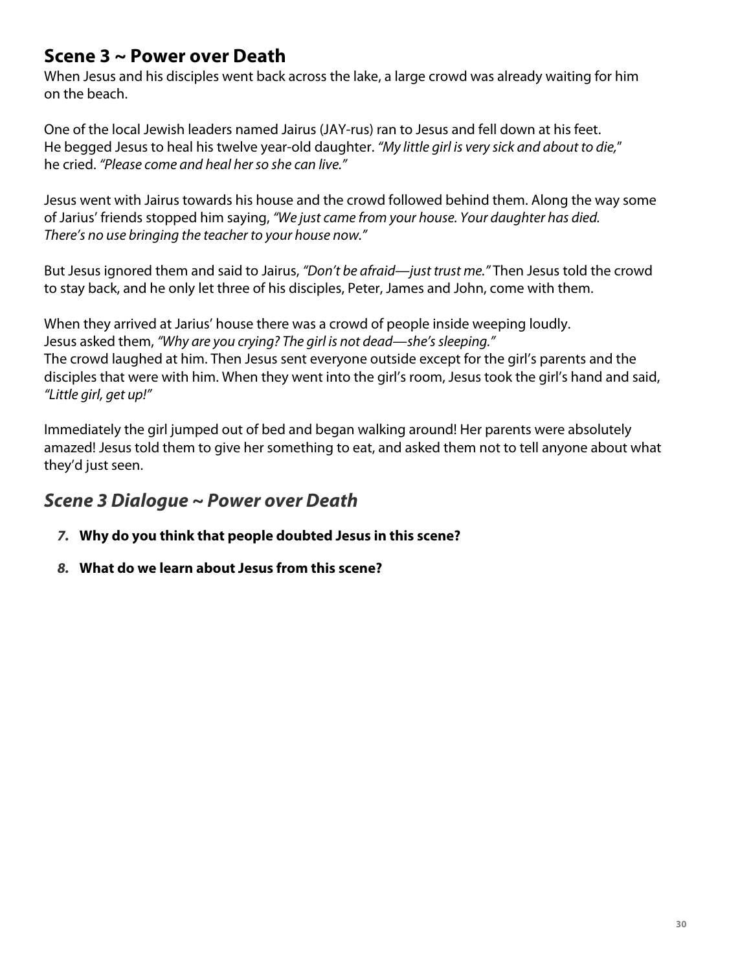# **Scene 3 ~ Power over Death**

When Jesus and his disciples went back across the lake, a large crowd was already waiting for him on the beach.

One of the local Jewish leaders named Jairus (JAY-rus) ran to Jesus and fell down at his feet. He begged Jesus to heal his twelve year-old daughter. "My little girl is very sick and about to die," he cried. "Please come and heal her so she can live."

Jesus went with Jairus towards his house and the crowd followed behind them. Along the way some of Jarius' friends stopped him saying, "We just came from your house. Your daughter has died. There's no use bringing the teacher to your house now."

But Jesus ignored them and said to Jairus, "Don't be afraid—just trust me." Then Jesus told the crowd to stay back, and he only let three of his disciples, Peter, James and John, come with them.

When they arrived at Jarius' house there was a crowd of people inside weeping loudly. Jesus asked them, "Why are you crying? The girl is not dead—she's sleeping." The crowd laughed at him. Then Jesus sent everyone outside except for the girl's parents and the disciples that were with him. When they went into the girl's room, Jesus took the girl's hand and said, "Little girl, get up!"

Immediately the girl jumped out of bed and began walking around! Her parents were absolutely amazed! Jesus told them to give her something to eat, and asked them not to tell anyone about what they'd just seen.

# **Scene 3 Dialogue ~ Power over Death**

- **7. Why do you think that people doubted Jesus in this scene?**
- **8. What do we learn about Jesus from this scene?**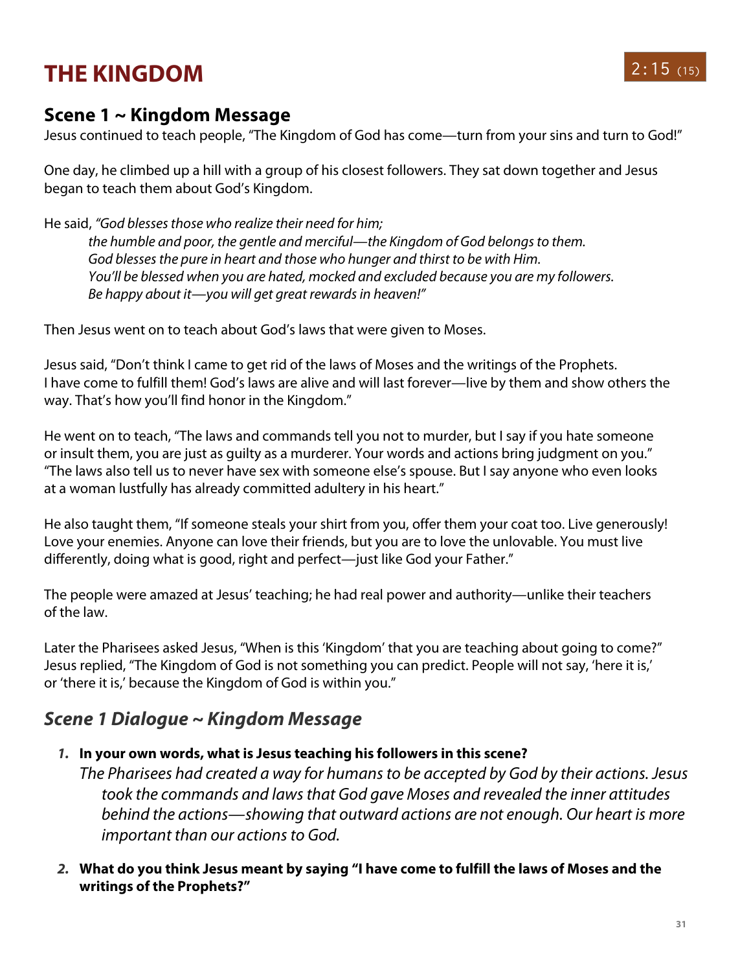# **THE KINGDOM**

# 2:15 (15)

### **Scene 1 ~ Kingdom Message**

Jesus continued to teach people, "The Kingdom of God has come—turn from your sins and turn to God!"

One day, he climbed up a hill with a group of his closest followers. They sat down together and Jesus began to teach them about God's Kingdom.

He said, "God blesses those who realize their need for him;

the humble and poor, the gentle and merciful—the Kingdom of God belongs to them. God blesses the pure in heart and those who hunger and thirst to be with Him. You'll be blessed when you are hated, mocked and excluded because you are my followers. Be happy about it—you will get great rewards in heaven!"

Then Jesus went on to teach about God's laws that were given to Moses.

Jesus said, "Don't think I came to get rid of the laws of Moses and the writings of the Prophets. I have come to fulfill them! God's laws are alive and will last forever—live by them and show others the way. That's how you'll find honor in the Kingdom."

He went on to teach, "The laws and commands tell you not to murder, but I say if you hate someone or insult them, you are just as guilty as a murderer. Your words and actions bring judgment on you." "The laws also tell us to never have sex with someone else's spouse. But I say anyone who even looks at a woman lustfully has already committed adultery in his heart."

He also taught them, "If someone steals your shirt from you, offer them your coat too. Live generously! Love your enemies. Anyone can love their friends, but you are to love the unlovable. You must live differently, doing what is good, right and perfect—just like God your Father."

The people were amazed at Jesus' teaching; he had real power and authority—unlike their teachers of the law.

Later the Pharisees asked Jesus, "When is this 'Kingdom' that you are teaching about going to come?" Jesus replied, "The Kingdom of God is not something you can predict. People will not say, 'here it is,' or 'there it is,' because the Kingdom of God is within you."

### **Scene 1 Dialogue ~ Kingdom Message**

**1. In your own words, what is Jesus teaching his followers in this scene?**

The Pharisees had created a way for humans to be accepted by God by their actions. Jesus took the commands and laws that God gave Moses and revealed the inner attitudes behind the actions—showing that outward actions are not enough. Our heart is more important than our actions to God.

**2. What do you think Jesus meant by saying "I have come to fulfill the laws of Moses and the writings of the Prophets?"**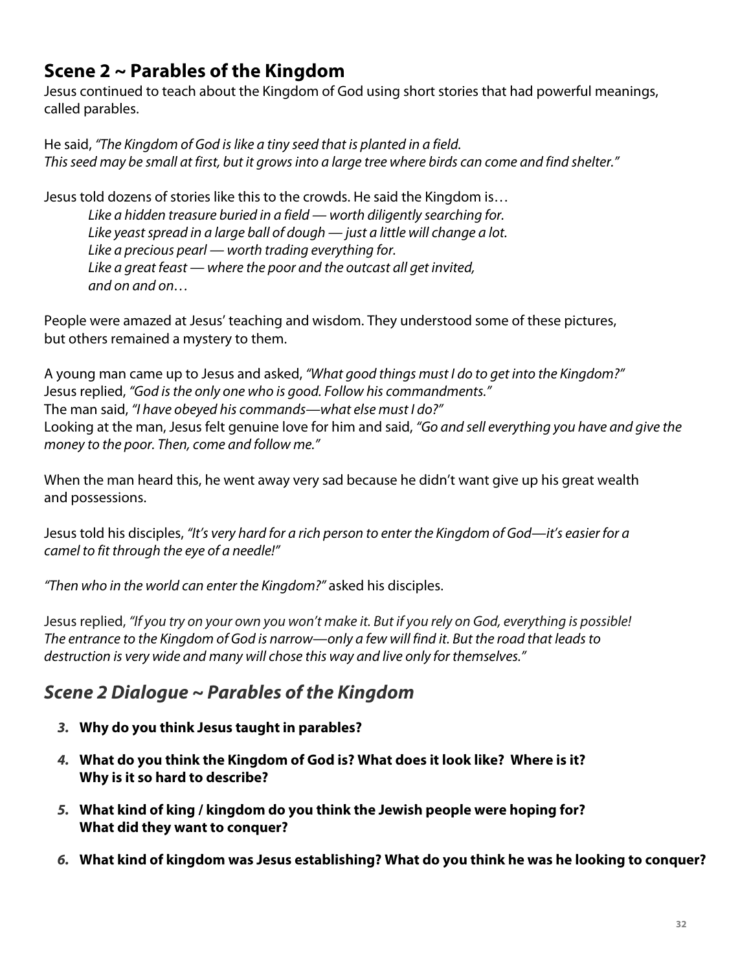# **Scene 2 ~ Parables of the Kingdom**

Jesus continued to teach about the Kingdom of God using short stories that had powerful meanings, called parables.

He said, "The Kingdom of God is like a tiny seed that is planted in a field. This seed may be small at first, but it grows into a large tree where birds can come and find shelter."

Jesus told dozens of stories like this to the crowds. He said the Kingdom is… Like a hidden treasure buried in a field — worth diligently searching for. Like yeast spread in a large ball of dough — just a little will change a lot. Like a precious pearl — worth trading everything for. Like a great feast — where the poor and the outcast all get invited, and on and on…

People were amazed at Jesus' teaching and wisdom. They understood some of these pictures, but others remained a mystery to them.

A young man came up to Jesus and asked, "What good things must I do to get into the Kingdom?" Jesus replied, "God is the only one who is good. Follow his commandments." The man said, "I have obeyed his commands—what else must I do?" Looking at the man, Jesus felt genuine love for him and said, "Go and sell everything you have and give the money to the poor. Then, come and follow me."

When the man heard this, he went away very sad because he didn't want give up his great wealth and possessions.

Jesus told his disciples, "It's very hard for a rich person to enter the Kingdom of God—it's easier for a camel to fit through the eye of a needle!"

"Then who in the world can enter the Kingdom?" asked his disciples.

Jesus replied, "If you try on your own you won't make it. But if you rely on God, everything is possible! The entrance to the Kingdom of God is narrow—only a few will find it. But the road that leads to destruction is very wide and many will chose this way and live only for themselves."

# **Scene 2 Dialogue ~ Parables of the Kingdom**

- **3. Why do you think Jesus taught in parables?**
- **4. What do you think the Kingdom of God is? What does it look like? Where is it? Why is it so hard to describe?**
- **5. What kind of king / kingdom do you think the Jewish people were hoping for? What did they want to conquer?**
- **6. What kind of kingdom was Jesus establishing? What do you think he was he looking to conquer?**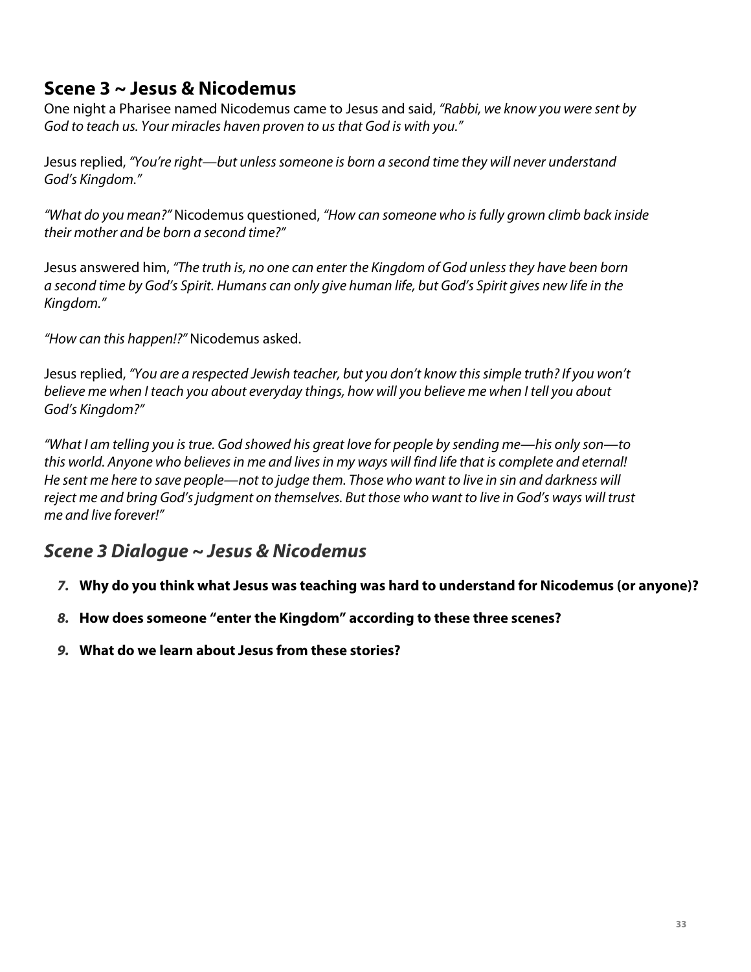# **Scene 3 ~ Jesus & Nicodemus**

One night a Pharisee named Nicodemus came to Jesus and said, "Rabbi, we know you were sent by God to teach us. Your miracles haven proven to us that God is with you."

Jesus replied, "You're right—but unless someone is born a second time they will never understand God's Kingdom."

"What do you mean?" Nicodemus questioned, "How can someone who is fully grown climb back inside their mother and be born a second time?"

Jesus answered him, "The truth is, no one can enter the Kingdom of God unless they have been born a second time by God's Spirit. Humans can only give human life, but God's Spirit gives new life in the Kingdom."

"How can this happen!?" Nicodemus asked.

Jesus replied, "You are a respected Jewish teacher, but you don't know this simple truth? If you won't believe me when I teach you about everyday things, how will you believe me when I tell you about God's Kingdom?"

"What I am telling you is true. God showed his great love for people by sending me—his only son—to this world. Anyone who believes in me and lives in my ways will find life that is complete and eternal! He sent me here to save people—not to judge them. Those who want to live in sin and darkness will reject me and bring God's judgment on themselves. But those who want to live in God's ways will trust me and live forever!"

### **Scene 3 Dialogue ~ Jesus & Nicodemus**

- **7. Why do you think what Jesus was teaching was hard to understand for Nicodemus (or anyone)?**
- **8. How does someone "enter the Kingdom" according to these three scenes?**
- **9. What do we learn about Jesus from these stories?**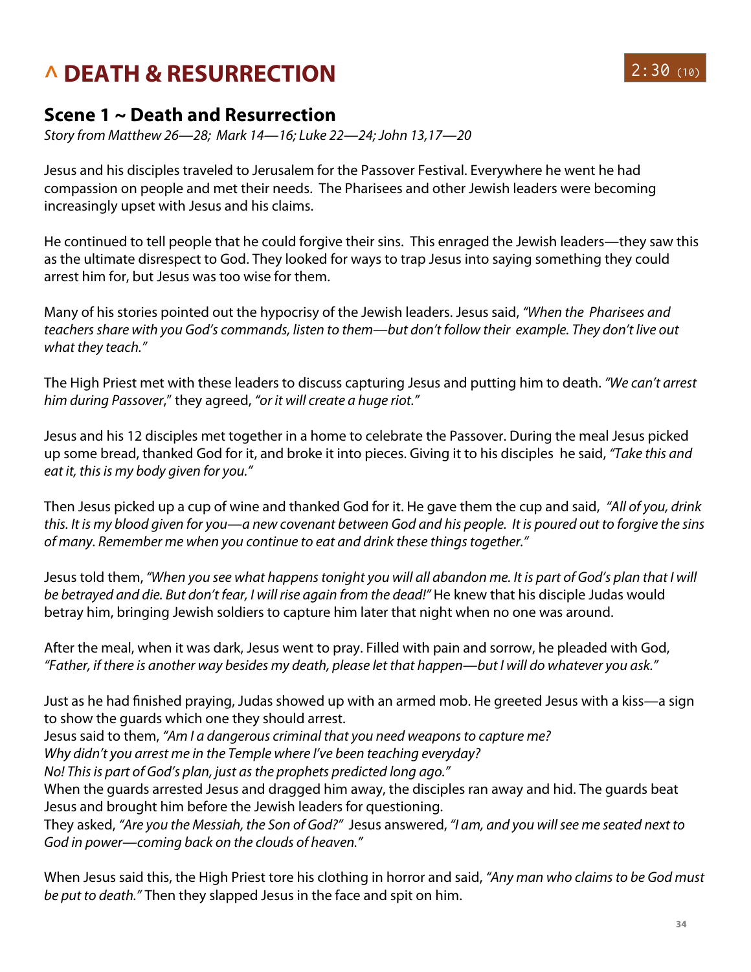# **^ DEATH & RESURRECTION**

# **Scene 1 ~ Death and Resurrection**

Story from Matthew 26—28; Mark 14—16; Luke 22—24; John 13,17—20

Jesus and his disciples traveled to Jerusalem for the Passover Festival. Everywhere he went he had compassion on people and met their needs. The Pharisees and other Jewish leaders were becoming increasingly upset with Jesus and his claims.

He continued to tell people that he could forgive their sins. This enraged the Jewish leaders—they saw this as the ultimate disrespect to God. They looked for ways to trap Jesus into saying something they could arrest him for, but Jesus was too wise for them.

Many of his stories pointed out the hypocrisy of the Jewish leaders. Jesus said, "When the Pharisees and teachers share with you God's commands, listen to them—but don't follow their example. They don't live out what they teach."

The High Priest met with these leaders to discuss capturing Jesus and putting him to death. "We can't arrest him during Passover," they agreed, "or it will create a huge riot."

Jesus and his 12 disciples met together in a home to celebrate the Passover. During the meal Jesus picked up some bread, thanked God for it, and broke it into pieces. Giving it to his disciples he said, "Take this and eat it, this is my body given for you."

Then Jesus picked up a cup of wine and thanked God for it. He gave them the cup and said, "All of you, drink this. It is my blood given for you—a new covenant between God and his people. It is poured out to forgive the sins of many. Remember me when you continue to eat and drink these things together."

Jesus told them, "When you see what happens tonight you will all abandon me. It is part of God's plan that I will be betrayed and die. But don't fear, I will rise again from the dead!" He knew that his disciple Judas would betray him, bringing Jewish soldiers to capture him later that night when no one was around.

After the meal, when it was dark, Jesus went to pray. Filled with pain and sorrow, he pleaded with God, "Father, if there is another way besides my death, please let that happen—but I will do whatever you ask."

Just as he had fnished praying, Judas showed up with an armed mob. He greeted Jesus with a kiss—a sign to show the guards which one they should arrest.

Jesus said to them, "Am I a dangerous criminal that you need weapons to capture me?

Why didn't you arrest me in the Temple where I've been teaching everyday?

No! This is part of God's plan, just as the prophets predicted long ago."

When the guards arrested Jesus and dragged him away, the disciples ran away and hid. The guards beat Jesus and brought him before the Jewish leaders for questioning.

They asked, "Are you the Messiah, the Son of God?" Jesus answered, "I am, and you will see me seated next to God in power—coming back on the clouds of heaven."

When Jesus said this, the High Priest tore his clothing in horror and said, "Any man who claims to be God must be put to death." Then they slapped Jesus in the face and spit on him.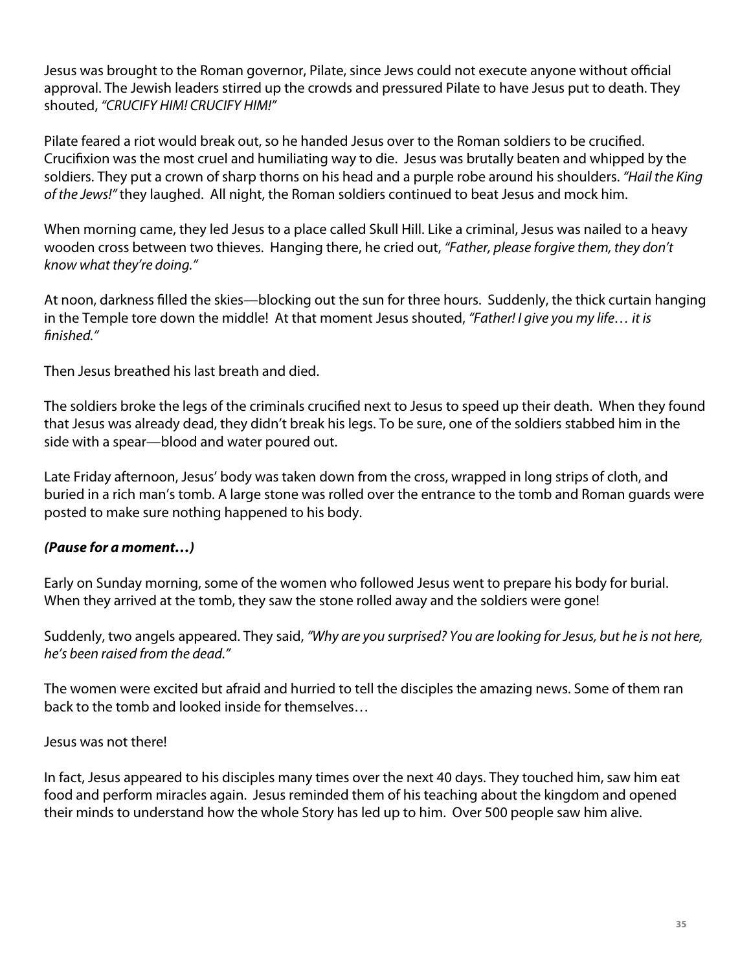Jesus was brought to the Roman governor, Pilate, since Jews could not execute anyone without offcial approval. The Jewish leaders stirred up the crowds and pressured Pilate to have Jesus put to death. They shouted, "CRUCIFY HIM! CRUCIFY HIM!"

Pilate feared a riot would break out, so he handed Jesus over to the Roman soldiers to be crucifed. Crucifxion was the most cruel and humiliating way to die. Jesus was brutally beaten and whipped by the soldiers. They put a crown of sharp thorns on his head and a purple robe around his shoulders. "Hail the King of the Jews!" they laughed. All night, the Roman soldiers continued to beat Jesus and mock him.

When morning came, they led Jesus to a place called Skull Hill. Like a criminal, Jesus was nailed to a heavy wooden cross between two thieves. Hanging there, he cried out, "Father, please forgive them, they don't know what they're doing."

At noon, darkness flled the skies—blocking out the sun for three hours. Suddenly, the thick curtain hanging in the Temple tore down the middle! At that moment Jesus shouted, "Father! I give you my life... it is fnished."

Then Jesus breathed his last breath and died.

The soldiers broke the legs of the criminals crucifed next to Jesus to speed up their death. When they found that Jesus was already dead, they didn't break his legs. To be sure, one of the soldiers stabbed him in the side with a spear—blood and water poured out.

Late Friday afternoon, Jesus' body was taken down from the cross, wrapped in long strips of cloth, and buried in a rich man's tomb. A large stone was rolled over the entrance to the tomb and Roman guards were posted to make sure nothing happened to his body.

#### **(Pause for a moment…)**

Early on Sunday morning, some of the women who followed Jesus went to prepare his body for burial. When they arrived at the tomb, they saw the stone rolled away and the soldiers were gone!

Suddenly, two angels appeared. They said, "Why are you surprised? You are looking for Jesus, but he is not here, he's been raised from the dead."

The women were excited but afraid and hurried to tell the disciples the amazing news. Some of them ran back to the tomb and looked inside for themselves…

Jesus was not there!

In fact, Jesus appeared to his disciples many times over the next 40 days. They touched him, saw him eat food and perform miracles again. Jesus reminded them of his teaching about the kingdom and opened their minds to understand how the whole Story has led up to him. Over 500 people saw him alive.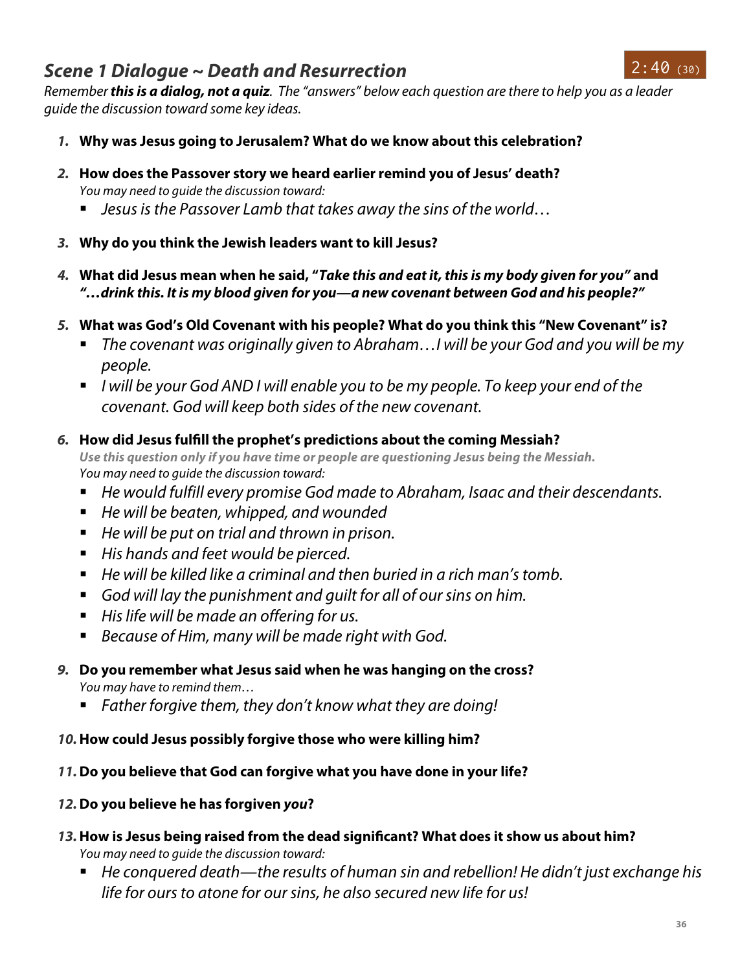# **Scene 1 Dialogue ~ Death and Resurrection**

Remember **this is a dialog, not a quiz**. The "answers" below each question are there to help you as a leader guide the discussion toward some key ideas.

- **1. Why was Jesus going to Jerusalem? What do we know about this celebration?**
- **2. How does the Passover story we heard earlier remind you of Jesus' death?** You may need to guide the discussion toward:
	- Jesus is the Passover Lamb that takes away the sins of the world...
- **3. Why do you think the Jewish leaders want to kill Jesus?**
- **4. What did Jesus mean when he said, "Take this and eat it, this is my body given for you" and "…drink this. It is my blood given for you—a new covenant between God and his people?"**
- **5. What was God's Old Covenant with his people? What do you think this "New Covenant" is?**
	- The covenant was originally given to Abraham...I will be your God and you will be my people.
	- I will be your God AND I will enable you to be my people. To keep your end of the covenant. God will keep both sides of the new covenant.

#### **6. How did Jesus fulfll the prophet's predictions about the coming Messiah?**

**Use this question only if you have time or people are questioning Jesus being the Messiah.** You may need to guide the discussion toward:

- He would fulfill every promise God made to Abraham, Isaac and their descendants.
- $\blacksquare$  He will be beaten, whipped, and wounded
- $\blacksquare$  He will be put on trial and thrown in prison.
- His hands and feet would be pierced.
- $\blacksquare$  He will be killed like a criminal and then buried in a rich man's tomb.
- God will lay the punishment and quilt for all of our sins on him.
- His life will be made an offering for us.
- Because of Him, many will be made right with God.
- **9. Do you remember what Jesus said when he was hanging on the cross?** You may have to remind them…
	- Father forgive them, they don't know what they are doing!

#### **10.How could Jesus possibly forgive those who were killing him?**

#### **11.Do you believe that God can forgive what you have done in your life?**

#### **12.Do you believe he has forgiven you?**

- **13.How is Jesus being raised from the dead signifcant? What does it show us about him?**  You may need to guide the discussion toward:
	- He conquered death—the results of human sin and rebellion! He didn't just exchange his life for ours to atone for our sins, he also secured new life for us!

2:40 (30)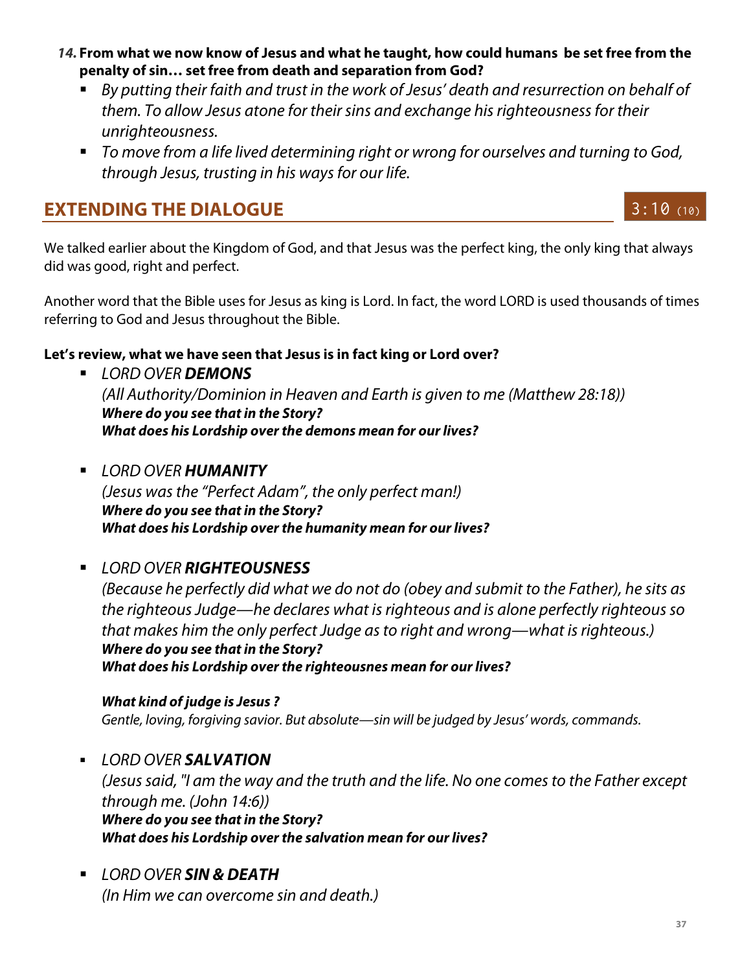- **14. From what we now know of Jesus and what he taught, how could humans be set free from the penalty of sin… set free from death and separation from God?**
	- By putting their faith and trust in the work of Jesus' death and resurrection on behalf of them. To allow Jesus atone for their sins and exchange his righteousness for their unrighteousness.
	- To move from a life lived determining right or wrong for ourselves and turning to God, through Jesus, trusting in his ways for our life.

# **EXTENDING THE DIALOGUE**

## 3:10 (10)

We talked earlier about the Kingdom of God, and that Jesus was the perfect king, the only king that always did was good, right and perfect.

Another word that the Bible uses for Jesus as king is Lord. In fact, the word LORD is used thousands of times referring to God and Jesus throughout the Bible.

#### **Let's review, what we have seen that Jesus is in fact king or Lord over?**

- **LORD OVER DEMONS** (All Authority/Dominion in Heaven and Earth is given to me (Matthew 28:18)) **Where do you see that in the Story? What does his Lordship over the demons mean for our lives?**
- LORD OVER **HUMANITY** (Jesus was the "Perfect Adam", the only perfect man!) **Where do you see that in the Story? What does his Lordship over the humanity mean for our lives?**
- LORD OVER **RIGHTEOUSNESS**

(Because he perfectly did what we do not do (obey and submit to the Father), he sits as the righteous Judge—he declares what is righteous and is alone perfectly righteous so that makes him the only perfect Judge as to right and wrong—what is righteous.) **Where do you see that in the Story? What does his Lordship over the righteousnes mean for our lives?**

#### **What kind of judge is Jesus ?**

Gentle, loving, forgiving savior. But absolute—sin will be judged by Jesus' words, commands.

### LORD OVER **SALVATION**

(Jesus said, "I am the way and the truth and the life. No one comes to the Father except through me. (John 14:6)) **Where do you see that in the Story? What does his Lordship over the salvation mean for our lives?**

 LORD OVER **SIN & DEATH** (In Him we can overcome sin and death.)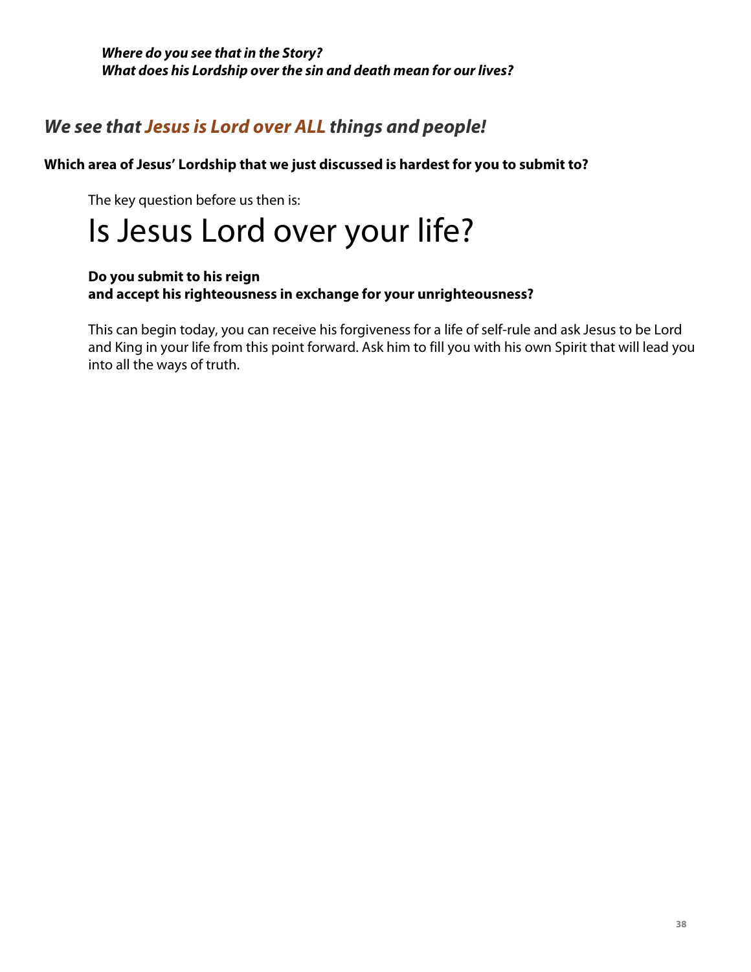**Where do you see that in the Story? What does his Lordship over the sin and death mean for our lives?**

# **We see that Jesus is Lord over ALL things and people!**

#### **Which area of Jesus' Lordship that we just discussed is hardest for you to submit to?**

The key question before us then is:

# Is Jesus Lord over your life?

#### **Do you submit to his reign and accept his righteousness in exchange for your unrighteousness?**

This can begin today, you can receive his forgiveness for a life of self-rule and ask Jesus to be Lord and King in your life from this point forward. Ask him to fill you with his own Spirit that will lead you into all the ways of truth.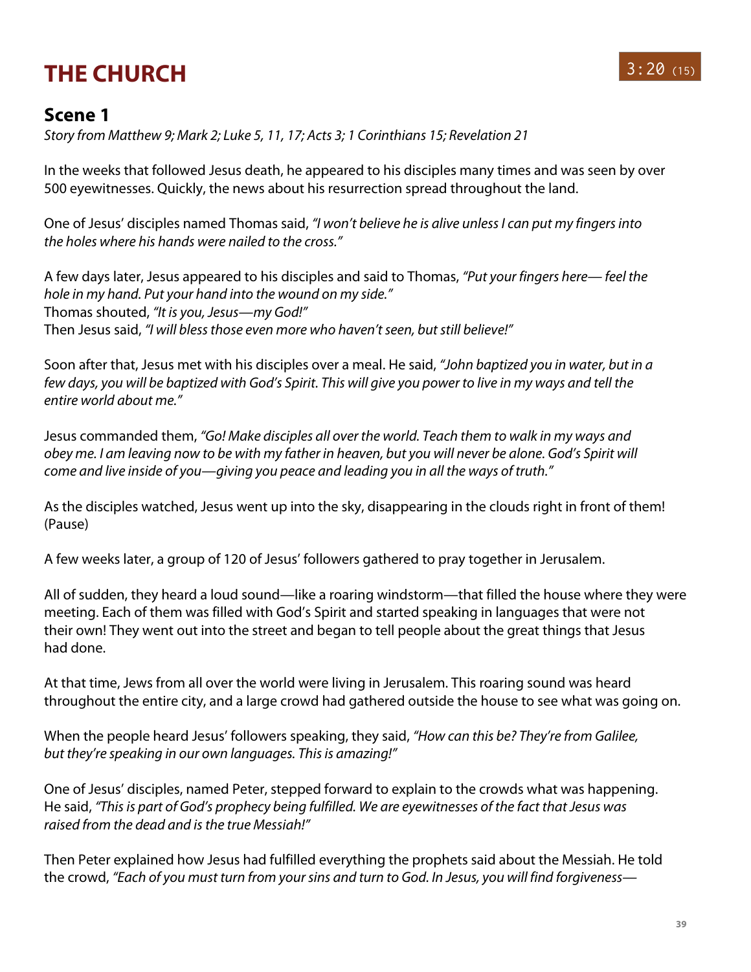# **THE CHURCH**



### **Scene 1**

Story from Matthew 9; Mark 2; Luke 5, 11, 17; Acts 3; 1 Corinthians 15; Revelation 21

In the weeks that followed Jesus death, he appeared to his disciples many times and was seen by over 500 eyewitnesses. Quickly, the news about his resurrection spread throughout the land.

One of Jesus' disciples named Thomas said, "I won't believe he is alive unless I can put my fingers into the holes where his hands were nailed to the cross."

A few days later, Jesus appeared to his disciples and said to Thomas, "Put your fingers here— feel the hole in my hand. Put your hand into the wound on my side." Thomas shouted, "It is you, Jesus—my God!" Then Jesus said, "I will bless those even more who haven't seen, but still believe!"

Soon after that, Jesus met with his disciples over a meal. He said, "John baptized you in water, but in a few days, you will be baptized with God's Spirit. This will give you power to live in my ways and tell the entire world about me."

Jesus commanded them, "Go! Make disciples all over the world. Teach them to walk in my ways and obey me. I am leaving now to be with my father in heaven, but you will never be alone. God's Spirit will come and live inside of you—giving you peace and leading you in all the ways of truth."

As the disciples watched, Jesus went up into the sky, disappearing in the clouds right in front of them! (Pause)

A few weeks later, a group of 120 of Jesus' followers gathered to pray together in Jerusalem.

All of sudden, they heard a loud sound—like a roaring windstorm—that filled the house where they were meeting. Each of them was filled with God's Spirit and started speaking in languages that were not their own! They went out into the street and began to tell people about the great things that Jesus had done.

At that time, Jews from all over the world were living in Jerusalem. This roaring sound was heard throughout the entire city, and a large crowd had gathered outside the house to see what was going on.

When the people heard Jesus' followers speaking, they said, "How can this be? They're from Galilee, but they're speaking in our own languages. This is amazing!"

One of Jesus' disciples, named Peter, stepped forward to explain to the crowds what was happening. He said, "This is part of God's prophecy being fulfilled. We are eyewitnesses of the fact that Jesus was raised from the dead and is the true Messiah!"

Then Peter explained how Jesus had fulfilled everything the prophets said about the Messiah. He told the crowd, "Each of you must turn from your sins and turn to God. In Jesus, you will find forgiveness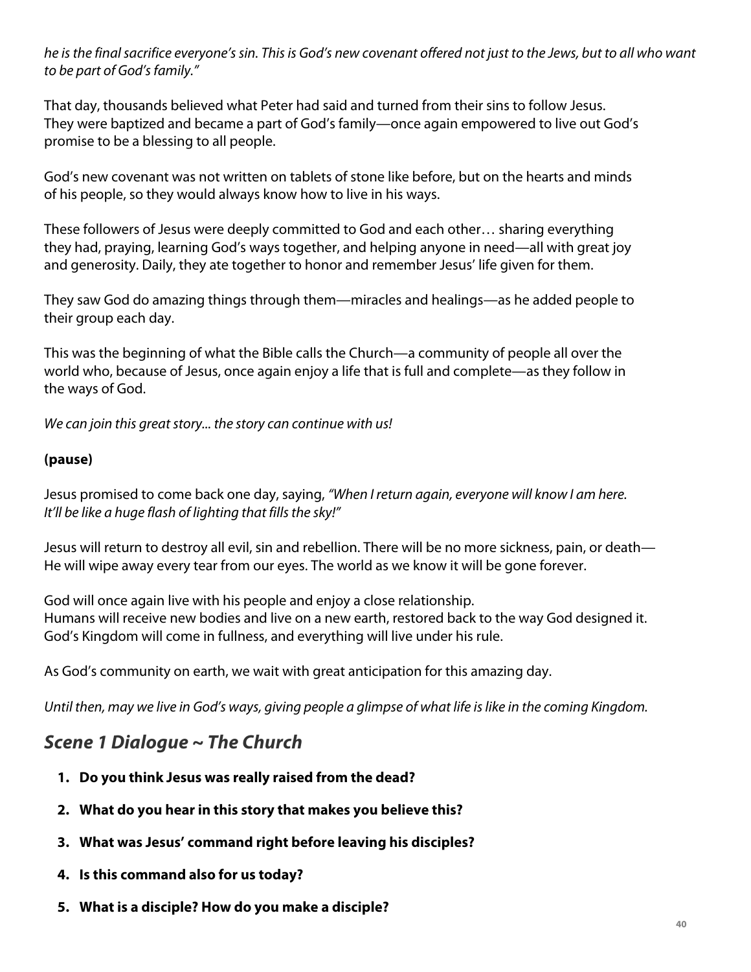he is the final sacrifice everyone's sin. This is God's new covenant offered not just to the Jews, but to all who want to be part of God's family."

That day, thousands believed what Peter had said and turned from their sins to follow Jesus. They were baptized and became a part of God's family—once again empowered to live out God's promise to be a blessing to all people.

God's new covenant was not written on tablets of stone like before, but on the hearts and minds of his people, so they would always know how to live in his ways.

These followers of Jesus were deeply committed to God and each other… sharing everything they had, praying, learning God's ways together, and helping anyone in need—all with great joy and generosity. Daily, they ate together to honor and remember Jesus' life given for them.

They saw God do amazing things through them—miracles and healings—as he added people to their group each day.

This was the beginning of what the Bible calls the Church—a community of people all over the world who, because of Jesus, once again enjoy a life that is full and complete—as they follow in the ways of God.

We can join this great story... the story can continue with us!

#### **(pause)**

Jesus promised to come back one day, saying, "When I return again, everyone will know I am here. It'll be like a huge flash of lighting that fills the sky!"

Jesus will return to destroy all evil, sin and rebellion. There will be no more sickness, pain, or death— He will wipe away every tear from our eyes. The world as we know it will be gone forever.

God will once again live with his people and enjoy a close relationship. Humans will receive new bodies and live on a new earth, restored back to the way God designed it. God's Kingdom will come in fullness, and everything will live under his rule.

As God's community on earth, we wait with great anticipation for this amazing day.

Until then, may we live in God's ways, giving people a glimpse of what life is like in the coming Kingdom.

# **Scene 1 Dialogue ~ The Church**

- **1. Do you think Jesus was really raised from the dead?**
- **2. What do you hear in this story that makes you believe this?**
- **3. What was Jesus' command right before leaving his disciples?**
- **4. Is this command also for us today?**
- **5. What is a disciple? How do you make a disciple?**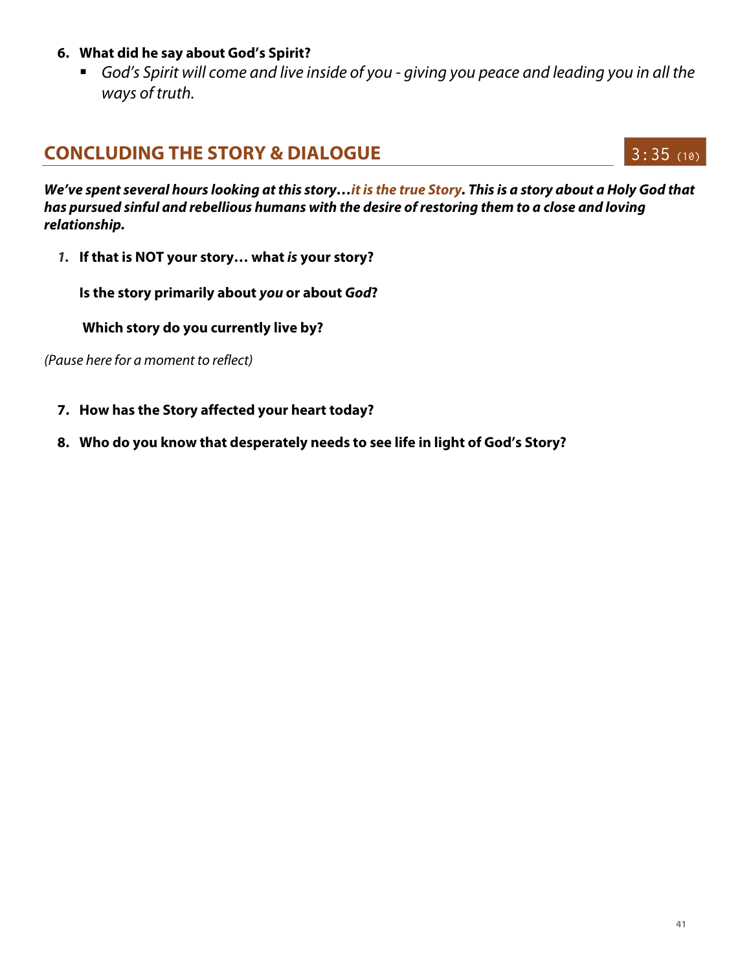- **6. What did he say about God's Spirit?**
	- God's Spirit will come and live inside of you giving you peace and leading you in all the ways of truth.

# **CONCLUDING THE STORY & DIALOGUE**

**We've spent several hours looking at this story…it is the true Story. This is a story about a Holy God that has pursued sinful and rebellious humans with the desire of restoring them to a close and loving relationship.** 

**1. If that is NOT your story… what is your story?**

**Is the story primarily about you or about God?**

**Which story do you currently live by?**

(Pause here for a moment to reflect)

- **7. How has the Story affected your heart today?**
- **8. Who do you know that desperately needs to see life in light of God's Story?**

#### 3:35 (10)